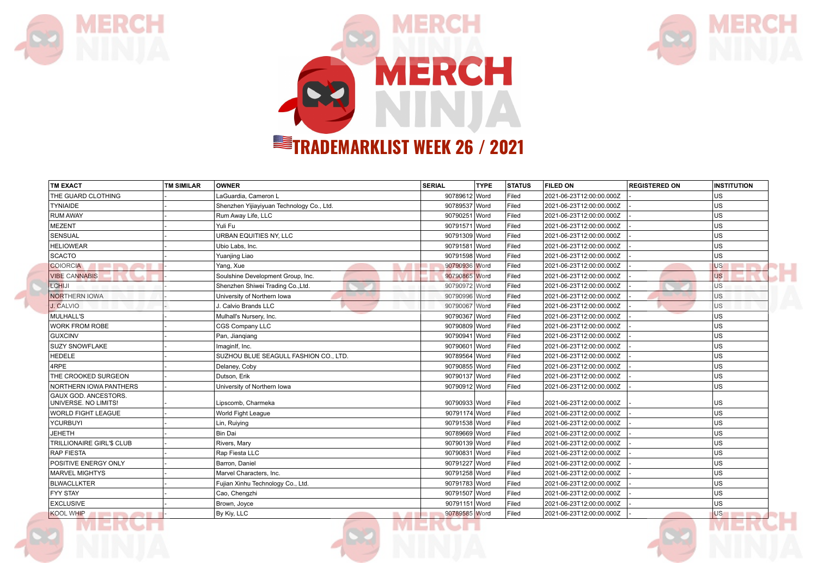





| <b>TM EXACT</b>                                             | <b>TM SIMILAR</b> | <b>OWNER</b>                              | <b>SERIAL</b> | <b>TYPE</b> | <b>STATUS</b> | <b>FILED ON</b>          | <b>REGISTERED ON</b> | <b>INSTITUTION</b> |
|-------------------------------------------------------------|-------------------|-------------------------------------------|---------------|-------------|---------------|--------------------------|----------------------|--------------------|
| THE GUARD CLOTHING                                          |                   | LaGuardia, Cameron L                      | 90789612 Word |             | Filed         | 2021-06-23T12:00:00.000Z |                      | US                 |
| <b>TYNIAIDE</b>                                             |                   | Shenzhen Yijiayiyuan Technology Co., Ltd. | 90789537 Word |             | Filed         | 2021-06-23T12:00:00.000Z |                      | US                 |
| <b>RUM AWAY</b>                                             |                   | Rum Away Life, LLC                        | 90790251 Word |             | Filed         | 2021-06-23T12:00:00.000Z |                      | US                 |
| <b>MEZENT</b>                                               |                   | Yuli Fu                                   | 90791571 Word |             | Filed         | 2021-06-23T12:00:00.000Z |                      | US                 |
| <b>SENSUAL</b>                                              |                   | URBAN EQUITIES NY, LLC                    | 90791309 Word |             | Filed         | 2021-06-23T12:00:00.000Z |                      | US                 |
| <b>HELIOWEAR</b>                                            |                   | Ubio Labs, Inc.                           | 90791581 Word |             | Filed         | 2021-06-23T12:00:00.000Z |                      | US                 |
| <b>SCACTO</b>                                               |                   | Yuanjing Liao                             | 90791598 Word |             | Filed         | 2021-06-23T12:00:00.000Z |                      | US                 |
| <b>COIORCIA</b><br>.                                        |                   | Yang, Xue                                 | 90790936 Word |             | Filed         | 2021-06-23T12:00:00.000Z |                      | <b>US</b>          |
| <b>VIBE CANNABIS</b>                                        |                   | Soulshine Development Group, Inc.         | 90790865 Word |             | Filed         | 2021-06-23T12:00:00.000Z |                      | <b>US</b>          |
| LCHIJI                                                      |                   | Shenzhen Shiwei Trading Co., Ltd.         | 90790972 Word |             | Filed         | 2021-06-23T12:00:00.000Z |                      | <b>US</b>          |
| <b>NORTHERN IOWA</b>                                        |                   | University of Northern Iowa               | 90790996 Word |             | Filed         | 2021-06-23T12:00:00.000Z |                      | <b>US</b>          |
| J. CALVIO                                                   |                   | J. Calvio Brands LLC                      | 90790067 Word |             | Filed         | 2021-06-23T12:00:00.000Z |                      | <b>US</b>          |
| MULHALL'S                                                   |                   | Mulhall's Nursery, Inc.                   | 90790367 Word |             | Filed         | 2021-06-23T12:00:00.000Z |                      | lus                |
| <b>WORK FROM ROBE</b>                                       |                   | CGS Company LLC                           | 90790809 Word |             | Filed         | 2021-06-23T12:00:00.000Z |                      | US                 |
| GUXCINV                                                     |                   | Pan, Jianqiang                            | 90790941 Word |             | Filed         | 2021-06-23T12:00:00.000Z |                      | US                 |
| <b>SUZY SNOWFLAKE</b>                                       |                   | ImaginIf, Inc.                            | 90790601 Word |             | Filed         | 2021-06-23T12:00:00.000Z |                      | US                 |
| <b>HEDELE</b>                                               |                   | SUZHOU BLUE SEAGULL FASHION CO., LTD.     | 90789564 Word |             | Filed         | 2021-06-23T12:00:00.000Z |                      | US                 |
| 4RPE                                                        |                   | Delaney, Coby                             | 90790855 Word |             | Filed         | 2021-06-23T12:00:00.000Z |                      | lus                |
| THE CROOKED SURGEON                                         |                   | Dutson, Erik                              | 90790137 Word |             | Filed         | 2021-06-23T12:00:00.000Z |                      | US                 |
| NORTHERN IOWA PANTHERS                                      |                   | University of Northern Iowa               | 90790912 Word |             | Filed         | 2021-06-23T12:00:00.000Z |                      | US                 |
| <b>GAUX GOD. ANCESTORS.</b><br>UNIVERSE. NO LIMITS!         |                   | Lipscomb, Charmeka                        | 90790933 Word |             | Filed         | 2021-06-23T12:00:00.000Z |                      | US                 |
| WORLD FIGHT LEAGUE                                          |                   | World Fight League                        | 90791174 Word |             | Filed         | 2021-06-23T12:00:00.000Z |                      | US                 |
| YCURBUYI                                                    |                   | Lin, Ruiying                              | 90791538 Word |             | Filed         | 2021-06-23T12:00:00.000Z |                      | US                 |
| <b>JEHETH</b>                                               |                   | Bin Dai                                   | 90789669 Word |             | Filed         | 2021-06-23T12:00:00.000Z |                      | US                 |
| TRILLIONAIRE GIRL'\$ CLUB                                   |                   | Rivers, Mary                              | 90790139 Word |             | Filed         | 2021-06-23T12:00:00.000Z |                      | US                 |
| <b>RAP FIESTA</b>                                           |                   | Rap Fiesta LLC                            | 90790831 Word |             | Filed         | 2021-06-23T12:00:00.000Z |                      | lus                |
| <b>POSITIVE ENERGY ONLY</b>                                 |                   | Barron, Daniel                            | 90791227 Word |             | Filed         | 2021-06-23T12:00:00.000Z |                      | US                 |
| <b>MARVEL MIGHTYS</b>                                       |                   | Marvel Characters, Inc.                   | 90791258 Word |             | Filed         | 2021-06-23T12:00:00.000Z |                      | US                 |
| <b>BLWACLLKTER</b>                                          |                   | Fujian Xinhu Technology Co., Ltd.         | 90791783 Word |             | Filed         | 2021-06-23T12:00:00.000Z |                      | US                 |
| <b>FYY STAY</b>                                             |                   | Cao, Chengzhi                             | 90791507 Word |             | Filed         | 2021-06-23T12:00:00.000Z |                      | US                 |
| <b>EXCLUSIVE</b>                                            |                   | Brown, Joyce                              | 90791151 Word |             | Filed         | 2021-06-23T12:00:00.000Z |                      | US                 |
| <b>KOOL WHIP</b><br><b>I was a second that the property</b> |                   | By Kiy, LLC<br><b>DATE</b>                | 90789585 Word |             | Filed         | 2021-06-23T12:00:00.000Z |                      | <b>US</b>          |





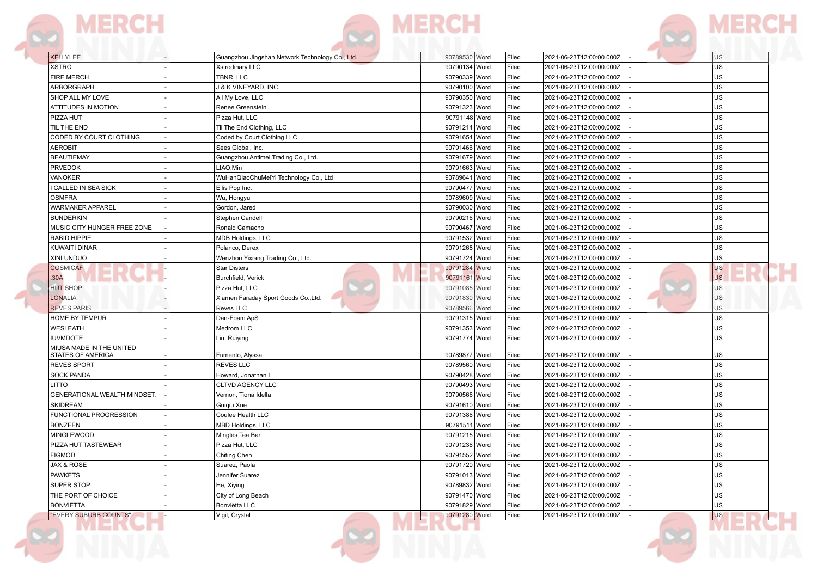





**DR** 

| <b>KELLYLEE</b>                               | Guangzhou Jingshan Network Technology Co., Ltd. | 90789530 Word | 2021-06-23T12:00:00.000Z<br>Filed | <b>US</b> |
|-----------------------------------------------|-------------------------------------------------|---------------|-----------------------------------|-----------|
| <b>XSTRO</b>                                  | Xstrodinary LLC                                 | 90790134 Word | Filed<br>2021-06-23T12:00:00.000Z | <b>US</b> |
| <b>FIRE MERCH</b>                             | TBNR, LLC                                       | 90790339 Word | Filed<br>2021-06-23T12:00:00.000Z | <b>US</b> |
| ARBORGRAPH                                    | J & K VINEYARD, INC.                            | 90790100 Word | Filed<br>2021-06-23T12:00:00.000Z | <b>US</b> |
| SHOP ALL MY LOVE                              | All My Love, LLC                                | 90790350 Word | Filed<br>2021-06-23T12:00:00.000Z | <b>US</b> |
| ATTITUDES IN MOTION                           | Renee Greenstein                                | 90791323 Word | Filed<br>2021-06-23T12:00:00.000Z | <b>US</b> |
| PIZZA HUT                                     | Pizza Hut, LLC                                  | 90791148 Word | Filed<br>2021-06-23T12:00:00.000Z | <b>US</b> |
| TIL THE END                                   | Til The End Clothing, LLC                       | 90791214 Word | Filed<br>2021-06-23T12:00:00.000Z | <b>US</b> |
| CODED BY COURT CLOTHING                       | Coded by Court Clothing LLC                     | 90791654 Word | Filed<br>2021-06-23T12:00:00.000Z | <b>US</b> |
| <b>AEROBIT</b>                                | Sees Global, Inc.                               | 90791466 Word | Filed<br>2021-06-23T12:00:00.000Z | <b>US</b> |
| <b>BEAUTIEMAY</b>                             | Guangzhou Antimei Trading Co., Ltd.             | 90791679 Word | Filed<br>2021-06-23T12:00:00.000Z | <b>US</b> |
| <b>PRVEDOK</b>                                | LIAO,Min                                        | 90791663 Word | Filed<br>2021-06-23T12:00:00.000Z | <b>US</b> |
| <b>VANOKER</b>                                | WuHanQiaoChuMeiYi Technology Co., Ltd           | 90789641 Word | Filed<br>2021-06-23T12:00:00.000Z | <b>US</b> |
| CALLED IN SEA SICK                            | Ellis Pop Inc.                                  | 90790477 Word | Filed<br>2021-06-23T12:00:00.000Z | <b>US</b> |
| <b>OSMFRA</b>                                 | Wu, Hongyu                                      | 90789609 Word | Filed<br>2021-06-23T12:00:00.000Z | <b>US</b> |
| WARMAKER APPAREL                              | Gordon, Jared                                   | 90790030 Word | Filed<br>2021-06-23T12:00:00.000Z | <b>US</b> |
| <b>BUNDERKIN</b>                              | Stephen Candell                                 | 90790216 Word | Filed<br>2021-06-23T12:00:00.000Z | <b>US</b> |
| MUSIC CITY HUNGER FREE ZONE                   | Ronald Camacho                                  | 90790467 Word | Filed<br>2021-06-23T12:00:00.000Z | <b>US</b> |
| RABID HIPPIE                                  | MDB Holdings, LLC                               | 90791532 Word | Filed<br>2021-06-23T12:00:00.000Z | <b>US</b> |
| KUWAITI DINAR                                 | Polanco, Derex                                  | 90791268 Word | Filed<br>2021-06-23T12:00:00.000Z | <b>US</b> |
| XINLUNDUO                                     | Wenzhou Yixiang Trading Co., Ltd.               | 90791724 Word | Filed<br>2021-06-23T12:00:00.000Z | <b>US</b> |
| <b>COSMICAF</b>                               | Star Disters                                    | 90791284 Word | Filed<br>2021-06-23T12:00:00.000Z | <b>US</b> |
| 30A                                           | Burchfield, Verick                              | 90791161 Word | Filed<br>2021-06-23T12:00:00.000Z | <b>US</b> |
| <b>HUT SHOP</b>                               | Pizza Hut, LLC                                  | 90791085 Word | Filed<br>2021-06-23T12:00:00.000Z | <b>US</b> |
| <b>LONALIA</b>                                | Xiamen Faraday Sport Goods Co., Ltd.            | 90791830 Word | Filed<br>2021-06-23T12:00:00.000Z | <b>US</b> |
| <b>REVES PARIS</b>                            | Reves LLC                                       | 90789566 Word | Filed<br>2021-06-23T12:00:00.000Z | <b>US</b> |
| HOME BY TEMPUR                                | Dan-Foam ApS                                    | 90791315 Word | Filed<br>2021-06-23T12:00:00.000Z | <b>US</b> |
| <b>WESLEATH</b>                               | Medrom LLC                                      | 90791353 Word | Filed<br>2021-06-23T12:00:00.000Z | <b>US</b> |
| <b>IUVMDOTE</b>                               | Lin, Ruiying                                    | 90791774 Word | Filed<br>2021-06-23T12:00:00.000Z | <b>US</b> |
| MIUSA MADE IN THE UNITED<br>STATES OF AMERICA | Fumento, Alyssa                                 | 90789877 Word | Filed<br>2021-06-23T12:00:00.000Z | US        |
| <b>REVES SPORT</b>                            | REVES LLC                                       | 90789560 Word | Filed<br>2021-06-23T12:00:00.000Z | <b>US</b> |
| <b>SOCK PANDA</b>                             | Howard, Jonathan L                              | 90790428 Word | Filed<br>2021-06-23T12:00:00.000Z | <b>US</b> |
| LITTO                                         | CLTVD AGENCY LLC                                | 90790493 Word | Filed<br>2021-06-23T12:00:00.000Z | <b>US</b> |
| GENERATIONAL WEALTH MINDSET.                  | Vernon, Tiona Idella                            | 90790566 Word | Filed<br>2021-06-23T12:00:00.000Z | <b>US</b> |
| <b>SKIDREAM</b>                               | Guiqiu Xue                                      | 90791610 Word | Filed<br>2021-06-23T12:00:00.000Z | <b>US</b> |
| FUNCTIONAL PROGRESSION                        | Coulee Health LLC                               | 90791386 Word | Filed<br>2021-06-23T12:00:00.000Z | <b>US</b> |
| <b>BONZEEN</b>                                | MBD Holdings, LLC                               | 90791511 Word | Filed<br>2021-06-23T12:00:00.000Z | <b>US</b> |
| <b>MINGLEWOOD</b>                             | Mingles Tea Bar                                 | 90791215 Word | Filed<br>2021-06-23T12:00:00.000Z | <b>US</b> |
| PIZZA HUT TASTEWEAR                           | Pizza Hut, LLC                                  | 90791236 Word | Filed<br>2021-06-23T12:00:00.000Z | <b>US</b> |
| <b>FIGMOD</b>                                 | Chiting Chen                                    | 90791552 Word | Filed<br>2021-06-23T12:00:00.000Z | <b>US</b> |
| <b>JAX &amp; ROSE</b>                         | Suarez, Paola                                   | 90791720 Word | Filed<br>2021-06-23T12:00:00.000Z | <b>US</b> |
| <b>PAWKETS</b>                                | Jennifer Suarez                                 | 90791013 Word | Filed<br>2021-06-23T12:00:00.000Z | <b>US</b> |
| SUPER STOP                                    | He, Xiying                                      | 90789832 Word | Filed<br>2021-06-23T12:00:00.000Z | <b>US</b> |
| THE PORT OF CHOICE                            | City of Long Beach                              | 90791470 Word | Filed<br>2021-06-23T12:00:00.000Z | US        |
| <b>BONVIETTA</b>                              | Bonviëtta LLC                                   | 90791829 Word | Filed<br>2021-06-23T12:00:00.000Z | <b>US</b> |
|                                               |                                                 |               |                                   |           |

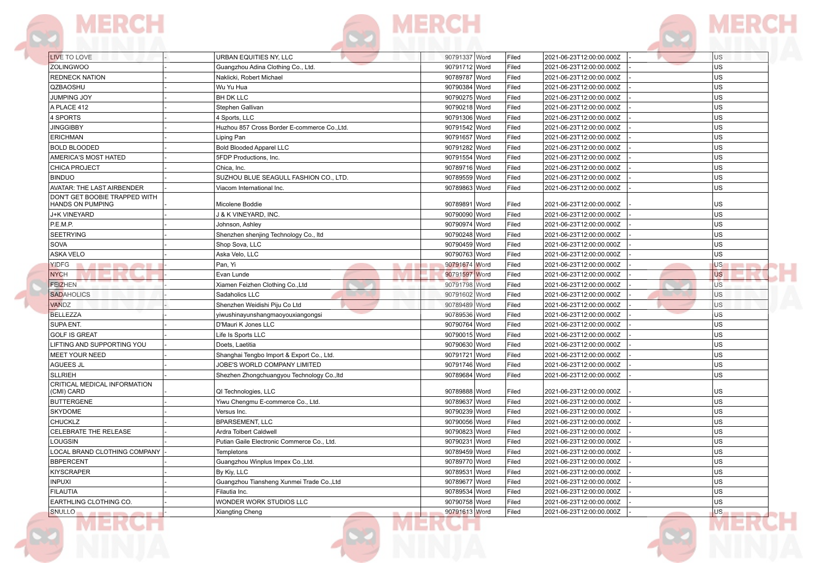



| LIVE TO LOVE                                      | URBAN EQUITIES NY. LLC                       | 90791337 Word | Filed | 2021-06-23T12:00:00.000Z | <b>US</b> |
|---------------------------------------------------|----------------------------------------------|---------------|-------|--------------------------|-----------|
| <b>ZOLINGWOO</b>                                  | Guangzhou Adina Clothing Co., Ltd.           | 90791712 Word | Filed | 2021-06-23T12:00:00.000Z | US        |
| <b>REDNECK NATION</b>                             | Naklicki, Robert Michael                     | 90789787 Word | Filed | 2021-06-23T12:00:00.000Z | US        |
| QZBAOSHU                                          | Wu Yu Hua                                    | 90790384 Word | Filed | 2021-06-23T12:00:00.000Z | <b>US</b> |
| <b>JUMPING JOY</b>                                | <b>BH DK LLC</b>                             | 90790275 Word | Filed | 2021-06-23T12:00:00.000Z | US        |
| A PLACE 412                                       | Stephen Gallivan                             | 90790218 Word | Filed | 2021-06-23T12:00:00.000Z | US        |
| <b>\$PORTS</b>                                    | 4 Sports, LLC                                | 90791306 Word | Filed | 2021-06-23T12:00:00.000Z | <b>US</b> |
| <b>JINGGIBBY</b>                                  | Huzhou 857 Cross Border E-commerce Co., Ltd. | 90791542 Word | Filed | 2021-06-23T12:00:00.000Z | US        |
| <b>ERICHMAN</b>                                   | Liping Pan                                   | 90791657 Word | Filed | 2021-06-23T12:00:00.000Z | <b>US</b> |
| <b>BOLD BLOODED</b>                               | <b>Bold Blooded Apparel LLC</b>              | 90791282 Word | Filed | 2021-06-23T12:00:00.000Z | US        |
| AMERICA'S MOST HATED                              | 5FDP Productions, Inc.                       | 90791554 Word | Filed | 2021-06-23T12:00:00.000Z | <b>US</b> |
| CHICA PROJECT                                     | Chica, Inc.                                  | 90789716 Word | Filed | 2021-06-23T12:00:00.000Z | US        |
| <b>BINDUO</b>                                     | SUZHOU BLUE SEAGULL FASHION CO., LTD.        | 90789559 Word | Filed | 2021-06-23T12:00:00.000Z | US        |
| AVATAR: THE LAST AIRBENDER                        | Viacom International Inc.                    | 90789863 Word | Filed | 2021-06-23T12:00:00.000Z | US        |
| DON'T GET BOOBIE TRAPPED WITH<br>HANDS ON PUMPING | Micolene Boddie                              | 90789891 Word | Filed | 2021-06-23T12:00:00.000Z | US        |
| J+K VINEYARD                                      | <b>J &amp; K VINEYARD, INC.</b>              | 90790090 Word | Filed | 2021-06-23T12:00:00.000Z | US        |
| P.E.M.P.                                          | Johnson, Ashley                              | 90790974 Word | Filed | 2021-06-23T12:00:00.000Z | US        |
| <b>SEETRYING</b>                                  | Shenzhen shenjing Technology Co., Itd        | 90790248 Word | Filed | 2021-06-23T12:00:00.000Z | US        |
| SOVA                                              | Shop Sova, LLC                               | 90790459 Word | Filed | 2021-06-23T12:00:00.000Z | <b>US</b> |
| ASKA VELO                                         | Aska Velo, LLC                               | 90790763 Word | Filed | 2021-06-23T12:00:00.000Z | US        |
| YIDFG<br><b>ARTICLES</b>                          | Pan. Yi<br><b>All I</b>                      | 90791674 Word | Filed | 2021-06-23T12:00:00.000Z | US        |
| <b>NYCH</b>                                       | Evan Lunde                                   | 90791597 Word | Filed | 2021-06-23T12:00:00.000Z | <b>US</b> |
| <b>FEIZHEN</b>                                    | Xiamen Feizhen Clothing Co., Ltd             | 90791798 Word | Filed | 2021-06-23T12:00:00.000Z | <b>US</b> |
| <b>SADAHOLICS</b>                                 | Sadaholics LLC                               | 90791602 Word | Filed | 2021-06-23T12:00:00.000Z | US        |
| VANDZ                                             | Shenzhen Weidishi Piju Co Ltd                | 90789489 Word | Filed | 2021-06-23T12:00:00.000Z | US        |
| <b>BELLEZZA</b>                                   | yiwushinayunshangmaoyouxiangongsi            | 90789536 Word | Filed | 2021-06-23T12:00:00.000Z | US        |
| SUPA ENT.                                         | D'Mauri K Jones LLC                          | 90790764 Word | Filed | 2021-06-23T12:00:00.000Z | US        |
| <b>GOLF IS GREAT</b>                              | Life Is Sports LLC                           | 90790015 Word | Filed | 2021-06-23T12:00:00.000Z | US        |
| LIFTING AND SUPPORTING YOU                        | Doets, Laetitia                              | 90790630 Word | Filed | 2021-06-23T12:00:00.000Z | US        |
| <b>MEET YOUR NEED</b>                             | Shanghai Tengbo Import & Export Co., Ltd.    | 90791721 Word | Filed | 2021-06-23T12:00:00.000Z | US        |
| <b>AGUEES JL</b>                                  | JOBE'S WORLD COMPANY LIMITED                 | 90791746 Word | Filed | 2021-06-23T12:00:00.000Z | US        |
| <b>SLLRIEH</b>                                    | Shezhen Zhongchuangyou Technology Co., Itd   | 90789684 Word | Filed | 2021-06-23T12:00:00.000Z | US        |
| CRITICAL MEDICAL INFORMATION<br>(CMI) CARD        | QI Technologies, LLC                         | 90789888 Word | Filed | 2021-06-23T12:00:00.000Z | US        |
| <b>BUTTERGENE</b>                                 | Yiwu Chengmu E-commerce Co., Ltd.            | 90789637 Word | Filed | 2021-06-23T12:00:00.000Z | <b>US</b> |
| <b>SKYDOME</b>                                    | Versus Inc.                                  | 90790239 Word | Filed | 2021-06-23T12:00:00.000Z | US        |
| <b>CHUCKLZ</b>                                    | <b>BPARSEMENT, LLC</b>                       | 90790056 Word | Filed | 2021-06-23T12:00:00.000Z | US        |
| CELEBRATE THE RELEASE                             | Ardra Tolbert Caldwell                       | 90790823 Word | Filed | 2021-06-23T12:00:00.000Z | US        |
| LOUGSIN                                           | Putian Gaile Electronic Commerce Co., Ltd.   | 90790231 Word | Filed | 2021-06-23T12:00:00.000Z | US        |
| LOCAL BRAND CLOTHING COMPANY                      | <b>Templetons</b>                            | 90789459 Word | Filed | 2021-06-23T12:00:00.000Z | US        |
| <b>BBPERCENT</b>                                  | Guangzhou Winplus Impex Co., Ltd.            | 90789770 Word | Filed | 2021-06-23T12:00:00.000Z | US        |
| <b>KIYSCRAPER</b>                                 | By Kiy, LLC                                  | 90789531 Word | Filed | 2021-06-23T12:00:00.000Z | US        |
| <b>INPUXI</b>                                     | Guangzhou Tiansheng Xunmei Trade Co., Ltd    | 90789677 Word | Filed | 2021-06-23T12:00:00.000Z | US        |
| <b>FILAUTIA</b>                                   | Filautia Inc.                                | 90789534 Word | Filed | 2021-06-23T12:00:00.000Z | US        |
|                                                   |                                              |               |       |                          |           |
| EARTHLING CLOTHING CO.                            | WONDER WORK STUDIOS LLC                      | 90790758 Word | Filed | 2021-06-23T12:00:00.000Z | <b>US</b> |

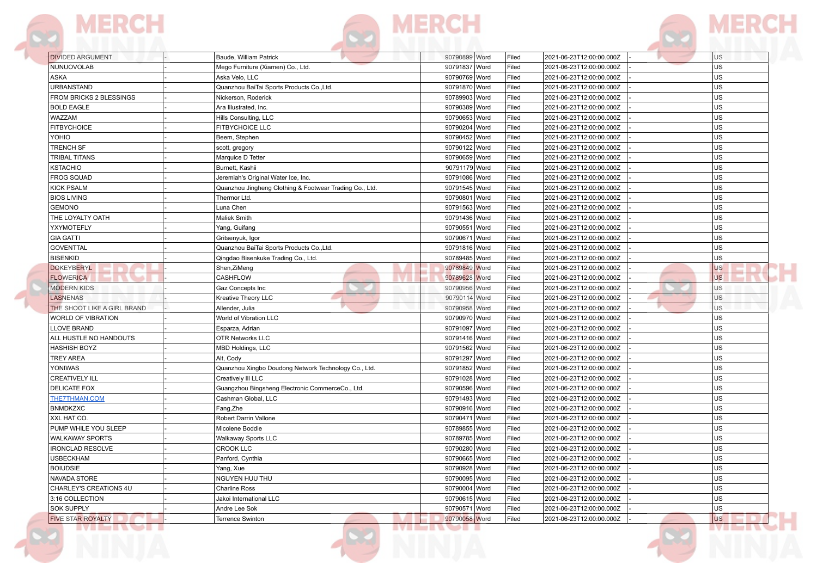

| <b>DIVIDED ARGUMENT</b>                     | Baude, William Patrick                                  | 90790899 Word                  | Filed | 2021-06-23T12:00:00.000Z | U <sub>S</sub> |
|---------------------------------------------|---------------------------------------------------------|--------------------------------|-------|--------------------------|----------------|
| NUNUOVOLAB                                  | Mego Furniture (Xiamen) Co., Ltd.                       | 90791837 Word                  | Filed | 2021-06-23T12:00:00.000Z | <b>US</b>      |
| <b>ASKA</b>                                 | Aska Velo, LLC                                          | 90790769 Word                  | Filed | 2021-06-23T12:00:00.000Z | US.            |
| <b>URBANSTAND</b>                           | Quanzhou BaiTai Sports Products Co., Ltd.               | 90791870 Word                  | Filed | 2021-06-23T12:00:00.000Z | lus            |
| FROM BRICKS 2 BLESSINGS                     | Nickerson, Roderick                                     | 90789903 Word                  | Filed | 2021-06-23T12:00:00.000Z | lus            |
| <b>BOLD EAGLE</b>                           | Ara Illustrated, Inc.                                   | 90790389 Word                  | Filed | 2021-06-23T12:00:00.000Z | lus            |
| <b>WAZZAM</b>                               | Hills Consulting, LLC                                   | 90790653 Word                  | Filed | 2021-06-23T12:00:00.000Z | lus            |
| <b>FITBYCHOICE</b>                          | FITBYCHOICE LLC                                         | 90790204 Word                  | Filed | 2021-06-23T12:00:00.000Z | US.            |
| YOHIO                                       | Beem, Stephen                                           | 90790452 Word                  | Filed | 2021-06-23T12:00:00.000Z | lus            |
| <b>TRENCH SF</b>                            | scott, gregory                                          | 90790122 Word                  | Filed | 2021-06-23T12:00:00.000Z | lus            |
| TRIBAL TITANS                               | Marquice D Tetter                                       | 90790659 Word                  | Filed | 2021-06-23T12:00:00.000Z | us             |
| <b>KSTACHIO</b>                             | Burnett, Kashii                                         | 90791179 Word                  | Filed | 2021-06-23T12:00:00.000Z | lus            |
| <b>FROG SQUAD</b>                           | Jeremiah's Original Water Ice, Inc.                     | 90791086 Word                  | Filed | 2021-06-23T12:00:00.000Z | lus            |
| <b>KICK PSALM</b>                           | Quanzhou Jingheng Clothing & Footwear Trading Co., Ltd. | 90791545 Word                  | Filed | 2021-06-23T12:00:00.000Z | lus            |
| <b>BIOS LIVING</b>                          | Thermor Ltd.                                            | 90790801 Word                  | Filed | 2021-06-23T12:00:00.000Z | lus            |
| <b>GEMONO</b>                               | Luna Chen                                               | 90791563 Word                  | Filed | 2021-06-23T12:00:00.000Z | lus            |
| THE LOYALTY OATH                            | <b>Maliek Smith</b>                                     | 90791436 Word                  | Filed | 2021-06-23T12:00:00.000Z | lus.           |
| YXYMOTEFLY                                  | Yang, Guifang                                           | 90790551 Word                  | Filed | 2021-06-23T12:00:00.000Z | lus            |
| <b>GIA GATTI</b>                            | Gritsenyuk, Igor                                        | 90790671 Word                  | Filed | 2021-06-23T12:00:00.000Z | US.            |
| <b>GOVENTTAL</b>                            | Quanzhou BaiTai Sports Products Co., Ltd.               | 90791816 Word                  | Filed | 2021-06-23T12:00:00.000Z | us             |
| <b>BISENKID</b>                             | Qingdao Bisenkuke Trading Co., Ltd.                     | 90789485 Word                  | Filed | 2021-06-23T12:00:00.000Z | lus            |
| <b>DOKEYBERYL</b>                           | Shen, ZiMeng                                            | 90789849 Word                  | Filed | 2021-06-23T12:00:00.000Z | <b>US</b>      |
| <b>FLOWERICA</b>                            | <b>CASHFLOW</b>                                         | 90789628 Word                  | Filed | 2021-06-23T12:00:00.000Z | <b>US</b>      |
| <b>MODERN KIDS</b>                          | Gaz Concepts Inc                                        | 90790956 Word                  | Filed | 2021-06-23T12:00:00.000Z | <b>US</b>      |
| <b>LASNENAS</b>                             | Kreative Theory LLC                                     | 90790114 Word                  | Filed | 2021-06-23T12:00:00.000Z | U <sub>S</sub> |
| THE SHOOT LIKE A GIRL BRAND                 | Allender, Julia                                         | 90790958 Word                  | Filed | 2021-06-23T12:00:00.000Z | <b>US</b>      |
| <b>WORLD OF VIBRATION</b>                   | World of Vibration LLC                                  | 90790970 Word                  | Filed | 2021-06-23T12:00:00.000Z | US.            |
| LLOVE BRAND                                 | Esparza, Adrian                                         | 90791097 Word                  | Filed | 2021-06-23T12:00:00.000Z | US.            |
| ALL HUSTLE NO HANDOUTS                      | <b>OTR Networks LLC</b>                                 | 90791416 Word                  | Filed | 2021-06-23T12:00:00.000Z | us             |
| <b>HASHISH BOYZ</b>                         | MBD Holdings, LLC                                       | 90791562 Word                  | Filed | 2021-06-23T12:00:00.000Z | lus            |
| <b>TREY AREA</b>                            | Alt, Cody                                               | 90791297 Word                  | Filed | 2021-06-23T12:00:00.000Z | lus            |
| YONIWAS                                     | Quanzhou Xingbo Doudong Network Technology Co., Ltd.    | 90791852 Word                  | Filed | 2021-06-23T12:00:00.000Z | lus            |
| <b>CREATIVELY ILL</b>                       | Creatively III LLC                                      | 90791028 Word                  | Filed | 2021-06-23T12:00:00.000Z | lus            |
| <b>DELICATE FOX</b>                         | Guangzhou Bingsheng Electronic CommerceCo., Ltd.        | 90790596 Word                  | Filed | 2021-06-23T12:00:00.000Z | lus            |
| <b>THE7THMAN.COM</b>                        | Cashman Global, LLC                                     | 90791493 Word                  | Filed | 2021-06-23T12:00:00.000Z | lus            |
| <b>BNMDKZXC</b>                             | Fang, Zhe                                               | 90790916 Word                  | Filed | 2021-06-23T12:00:00.000Z | lus            |
| XXL HAT CO.                                 | Robert Darrin Vallone                                   | 90790471 Word                  | Filed | 2021-06-23T12:00:00.000Z | US.            |
| PUMP WHILE YOU SLEEP                        | Micolene Boddie                                         | 90789855 Word                  | Filed | 2021-06-23T12:00:00.000Z | US.            |
| <b>WALKAWAY SPORTS</b>                      |                                                         | 90789785 Word                  | Filed | 2021-06-23T12:00:00.000Z | lus            |
|                                             | Walkaway Sports LLC                                     |                                |       |                          |                |
| <b>IRONCLAD RESOLVE</b><br><b>USBECKHAM</b> | <b>CROOK LLC</b>                                        | 90790280 Word<br>90790665 Word | Filed | 2021-06-23T12:00:00.000Z | US<br>lus      |
|                                             | Panford, Cynthia                                        |                                | Filed | 2021-06-23T12:00:00.000Z |                |
| <b>BOIUDSIE</b>                             | Yang, Xue                                               | 90790928 Word                  | Filed | 2021-06-23T12:00:00.000Z | lus            |
| NAVADA STORE                                | NGUYEN HUU THU                                          | 90790095 Word                  | Filed | 2021-06-23T12:00:00.000Z | lus            |
| CHARLEY'S CREATIONS 4U                      | <b>Charline Ross</b>                                    | 90790004 Word                  | Filed | 2021-06-23T12:00:00.000Z | lus            |
| 3:16 COLLECTION                             | Jakoi International LLC                                 | 90790615 Word                  | Filed | 2021-06-23T12:00:00.000Z | us             |
| <b>SOK SUPPLY</b>                           | Andre Lee Sok                                           | 90790571 Word                  | Filed | 2021-06-23T12:00:00.000Z | lus.           |
| <b>FIVE STAR ROYALTY</b>                    | <b>Terrence Swinton</b>                                 | 90790058 Word                  | Filed | 2021-06-23T12:00:00.000Z | <b>US</b>      |
| ivi bi i vol                                |                                                         | <u>ivim i vol</u>              |       |                          |                |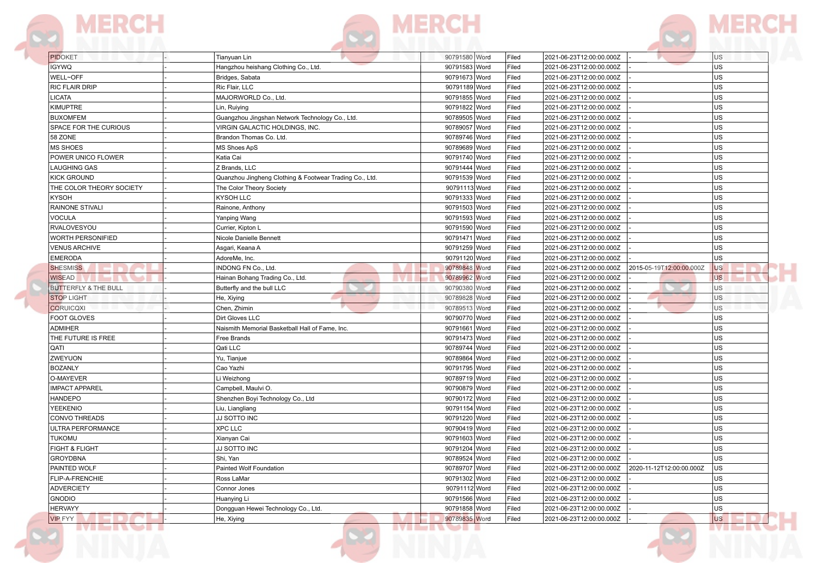

|  | ---- |  |
|--|------|--|



| PIDOKET                         | Tianyuan Lin                                            | 90791580 Word | Filed | 2021-06-23T12:00:00.000Z |                          | U <sub>S</sub> |
|---------------------------------|---------------------------------------------------------|---------------|-------|--------------------------|--------------------------|----------------|
| <b>IGYWQ</b>                    | Hangzhou heishang Clothing Co., Ltd.                    | 90791583 Word | Filed | 2021-06-23T12:00:00.000Z |                          | US             |
| WELL~OFF                        | Bridges, Sabata                                         | 90791673 Word | Filed | 2021-06-23T12:00:00.000Z |                          | <b>US</b>      |
| RIC FLAIR DRIP                  | Ric Flair, LLC                                          | 90791189 Word | Filed | 2021-06-23T12:00:00.000Z |                          | US             |
| <b>LICATA</b>                   | MAJORWORLD Co., Ltd.                                    | 90791855 Word | Filed | 2021-06-23T12:00:00.000Z |                          | <b>US</b>      |
| <b>KIMUPTRE</b>                 | Lin, Ruiying                                            | 90791822 Word | Filed | 2021-06-23T12:00:00.000Z |                          | <b>US</b>      |
| <b>BUXOMFEM</b>                 | Guangzhou Jingshan Network Technology Co., Ltd.         | 90789505 Word | Filed | 2021-06-23T12:00:00.000Z |                          | <b>US</b>      |
| SPACE FOR THE CURIOUS           | VIRGIN GALACTIC HOLDINGS, INC                           | 90789057 Word | Filed | 2021-06-23T12:00:00.000Z |                          | US             |
| 58 ZONE                         | Brandon Thomas Co. Ltd.                                 | 90789746 Word | Filed | 2021-06-23T12:00:00.000Z |                          | US             |
| <b>MS SHOES</b>                 | MS Shoes ApS                                            | 90789689 Word | Filed | 2021-06-23T12:00:00.000Z |                          | US             |
| POWER UNICO FLOWER              | Katia Cai                                               | 90791740 Word | Filed | 2021-06-23T12:00:00.000Z |                          | US             |
| LAUGHING GAS                    | Z Brands, LLC                                           | 90791444 Word | Filed | 2021-06-23T12:00:00.000Z |                          | <b>US</b>      |
| <b>KICK GROUND</b>              | Quanzhou Jingheng Clothing & Footwear Trading Co., Ltd. | 90791539 Word | Filed | 2021-06-23T12:00:00.000Z |                          | US             |
| THE COLOR THEORY SOCIETY        | The Color Theory Society                                | 90791113 Word | Filed | 2021-06-23T12:00:00.000Z |                          | <b>US</b>      |
| <b>KYSOH</b>                    | KYSOH LLC                                               | 90791333 Word | Filed | 2021-06-23T12:00:00.000Z |                          | US             |
| <b>RAINONE STIVALI</b>          | Rainone, Anthony                                        | 90791503 Word | Filed | 2021-06-23T12:00:00.000Z |                          | <b>US</b>      |
| <b>VOCULA</b>                   | Yanping Wang                                            | 90791593 Word | Filed | 2021-06-23T12:00:00.000Z |                          | US             |
| RVALOVESYOU                     | Currier, Kipton L                                       | 90791590 Word | Filed | 2021-06-23T12:00:00.000Z |                          | <b>US</b>      |
| <b>WORTH PERSONIFIED</b>        | Nicole Danielle Bennett                                 | 90791471 Word | Filed | 2021-06-23T12:00:00.000Z |                          | US             |
| <b>VENUS ARCHIVE</b>            | Asgari, Keana A                                         | 90791259 Word | Filed | 2021-06-23T12:00:00.000Z |                          | US             |
| <b>EMERODA</b>                  | AdoreMe, Inc.                                           | 90791120 Word | Filed | 2021-06-23T12:00:00.000Z |                          | <b>US</b>      |
| <b>SHESMISS</b>                 | INDONG FN Co., Ltd.                                     | 90789848 Word | Filed | 2021-06-23T12:00:00.000Z | 2015-05-19T12:00:00.000Z | <b>US</b>      |
| <b>WISEAD</b>                   | Hainan Bohang Trading Co., Ltd.                         | 90789962 Word | Filed | 2021-06-23T12:00:00.000Z |                          | <b>US</b>      |
| <b>BUTTERFLY &amp; THE BULL</b> | Butterfly and the bull LLC                              | 90790380 Word | Filed | 2021-06-23T12:00:00.000Z |                          | US             |
| <b>STOP LIGHT</b>               | He, Xiying                                              | 90789828 Word | Filed | 2021-06-23T12:00:00.000Z |                          | U <sub>S</sub> |
| <b>CQRUICQXI</b>                | Chen, Zhimin                                            | 90789513 Word | Filed | 2021-06-23T12:00:00.000Z |                          | <b>US</b>      |
| FOOT GLOVES                     | Dirt Gloves LLC                                         | 90790770 Word | Filed | 2021-06-23T12:00:00.000Z |                          | <b>US</b>      |
| <b>ADMIHER</b>                  | Naismith Memorial Basketball Hall of Fame, Inc.         | 90791661 Word | Filed | 2021-06-23T12:00:00.000Z |                          | US             |
| THE FUTURE IS FREE              | Free Brands                                             | 90791473 Word | Filed | 2021-06-23T12:00:00.000Z |                          | <b>US</b>      |
| QATI                            | Qati LLC                                                | 90789744 Word | Filed | 2021-06-23T12:00:00.000Z |                          | US             |
| ZWEYUON                         | Yu, Tianjue                                             | 90789864 Word | Filed | 2021-06-23T12:00:00.000Z |                          | US             |
| <b>BOZANLY</b>                  | Cao Yazhi                                               | 90791795 Word | Filed | 2021-06-23T12:00:00.000Z |                          | <b>US</b>      |
| O-MAYEVER                       | Li Weizhong                                             | 90789719 Word | Filed | 2021-06-23T12:00:00.000Z |                          | US             |
| <b>IMPACT APPAREL</b>           | Campbell, Maulvi O.                                     | 90790879 Word | Filed | 2021-06-23T12:00:00.000Z |                          | <b>US</b>      |
| <b>HANDEPO</b>                  | Shenzhen Boyi Technology Co., Ltd                       | 90790172 Word | Filed | 2021-06-23T12:00:00.000Z |                          | US             |
| YEEKENIO                        | Liu, Liangliang                                         | 90791154 Word | Filed | 2021-06-23T12:00:00.000Z |                          | <b>US</b>      |
| <b>CONVO THREADS</b>            | JJ SOTTO INC                                            | 90791220 Word | Filed | 2021-06-23T12:00:00.000Z |                          | US             |
| ULTRA PERFORMANCE               | <b>XPC LLC</b>                                          | 90790419 Word | Filed | 2021-06-23T12:00:00.000Z |                          | US             |
| <b>TUKOMU</b>                   | Xianyan Cai                                             | 90791603 Word | Filed | 2021-06-23T12:00:00.000Z |                          | US             |
| FIGHT & FLIGHT                  | JJ SOTTO INC                                            | 90791204 Word | Filed | 2021-06-23T12:00:00.000Z |                          | US             |
| <b>GROYDBNA</b>                 | Shi, Yan                                                | 90789524 Word | Filed | 2021-06-23T12:00:00.000Z |                          | <b>US</b>      |
| PAINTED WOLF                    | Painted Wolf Foundation                                 | 90789707 Word | Filed | 2021-06-23T12:00:00.000Z | 2020-11-12T12:00:00.000Z | US             |
| FLIP-A-FRENCHIE                 | Ross LaMar                                              | 90791302 Word | Filed | 2021-06-23T12:00:00.000Z |                          | US             |
| <b>ADVERCIETY</b>               | Connor Jones                                            | 90791112 Word | Filed | 2021-06-23T12:00:00.000Z |                          | US             |
| <b>GNODIO</b>                   | Huanying Li                                             | 90791566 Word | Filed | 2021-06-23T12:00:00.000Z |                          | <b>US</b>      |
| <b>HERVAYY</b>                  | Dongguan Hewei Technology Co., Ltd.                     | 90791858 Word | Filed | 2021-06-23T12:00:00.000Z |                          | <b>US</b>      |
| <b>VIP FYY</b>                  | He, Xiying                                              | 90789835 Word | Filed | 2021-06-23T12:00:00.000Z |                          | <b>US</b>      |
|                                 |                                                         | .             |       |                          |                          |                |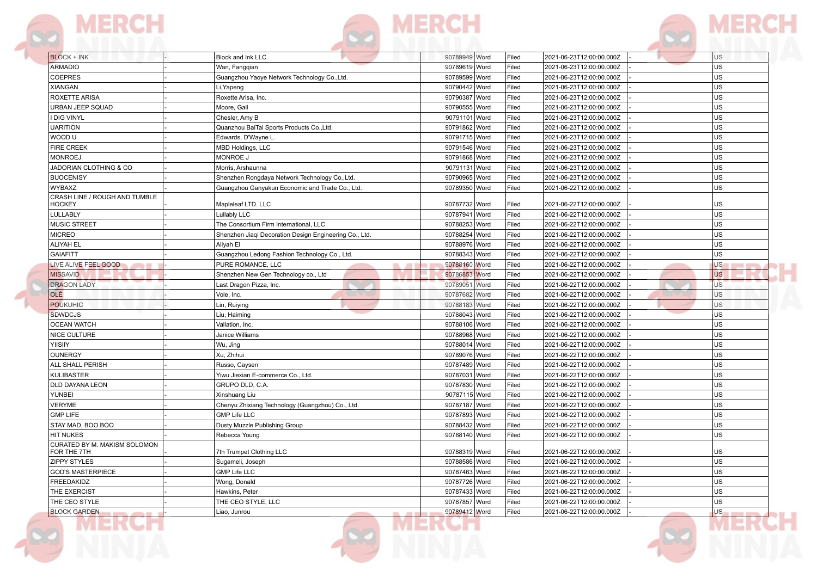





| <b>BLOCK + INK</b>                             | <b>Block and Ink LLC</b>                               | 90789949 Word | Filed | 2021-06-23T12:00:00.000Z | U <sub>S</sub>                        |
|------------------------------------------------|--------------------------------------------------------|---------------|-------|--------------------------|---------------------------------------|
| <b>ARMADIO</b>                                 | Wan, Fangqian                                          | 90789619 Word | Filed | 2021-06-23T12:00:00.000Z | lus                                   |
| <b>COEPRES</b>                                 | Guangzhou Yaoye Network Technology Co., Ltd.           | 90789599 Word | Filed | 2021-06-23T12:00:00.000Z | us                                    |
| <b>XIANGAN</b>                                 | Li, Yapeng                                             | 90790442 Word | Filed | 2021-06-23T12:00:00.000Z | lus                                   |
| <b>ROXETTE ARISA</b>                           | Roxette Arisa, Inc.                                    | 90790387 Word | Filed | 2021-06-23T12:00:00.000Z | lus                                   |
| URBAN JEEP SQUAD                               | Moore, Gail                                            | 90790555 Word | Filed | 2021-06-23T12:00:00.000Z | lus                                   |
| I DIG VINYL                                    | Chesler, Amy B                                         | 90791101 Word | Filed | 2021-06-23T12:00:00.000Z | us                                    |
| <b>UARITION</b>                                | Quanzhou BaiTai Sports Products Co., Ltd.              | 90791862 Word | Filed | 2021-06-23T12:00:00.000Z | us                                    |
| WOOD U                                         | Edwards, D'Wayne L.                                    | 90791715 Word | Filed | 2021-06-23T12:00:00.000Z | lus                                   |
| <b>FIRE CREEK</b>                              | MBD Holdings, LLC                                      | 90791546 Word | Filed | 2021-06-23T12:00:00.000Z | lus                                   |
| <b>MONROEJ</b>                                 | MONROE J                                               | 90791868 Word | Filed | 2021-06-23T12:00:00.000Z | lus                                   |
| JADORIAN CLOTHING & CO                         | Morris, Arshaunna                                      | 90791131 Word | Filed | 2021-06-23T12:00:00.000Z | lus                                   |
| <b>BUOCENISY</b>                               | Shenzhen Rongdaya Network Technology Co., Ltd.         | 90790965 Word | Filed | 2021-06-23T12:00:00.000Z | lus                                   |
| WYBAXZ                                         | Guangzhou Ganyakun Economic and Trade Co., Ltd.        | 90789350 Word | Filed | 2021-06-22T12:00:00.000Z | us                                    |
| CRASH LINE / ROUGH AND TUMBLE<br><b>HOCKEY</b> | Mapleleaf LTD. LLC                                     | 90787732 Word | Filed | 2021-06-22T12:00:00.000Z | <b>US</b>                             |
| LULLABLY                                       | Lullably LLC                                           | 90787941 Word | Filed | 2021-06-22T12:00:00.000Z | lus                                   |
| <b>MUSIC STREET</b>                            | The Consortium Firm International, LLC                 | 90788253 Word | Filed | 2021-06-22T12:00:00.000Z | lus                                   |
| <b>MICREO</b>                                  | Shenzhen Jiaqi Decoration Design Engineering Co., Ltd. | 90788254 Word | Filed | 2021-06-22T12:00:00.000Z | us                                    |
| <b>ALIYAH EL</b>                               | Aliyah El                                              | 90788976 Word | Filed | 2021-06-22T12:00:00.000Z | lus                                   |
| <b>GAIAFITT</b>                                | Guangzhou Ledong Fashion Technology Co., Ltd.          | 90788343 Word | Filed | 2021-06-22T12:00:00.000Z | us                                    |
| LIVE ALIVE FEEL GOOD<br><b>CONTRACTOR</b>      | PURE ROMANCE, LLC<br>. .                               | 90788160 Word | Filed | 2021-06-22T12:00:00.000Z | U <sub>S</sub><br><b>STATE STATE</b>  |
| <b>MISSAVID</b>                                | Shenzhen New Gen Technology co., Ltd                   | 90786853 Word | Filed | 2021-06-22T12:00:00.000Z | <sub>US</sub>                         |
| <b>DRAGON LADY</b>                             | Last Dragon Pizza, Inc.                                | 90789051 Word | Filed | 2021-06-22T12:00:00.000Z | <b>US</b>                             |
| OLÉ                                            | Vole, Inc.                                             | 90787682 Word | Filed | 2021-06-22T12:00:00.000Z | U <sub>S</sub>                        |
| <b>POUKUHIC</b>                                | Lin, Ruiying                                           | 90788183 Word | Filed | 2021-06-22T12:00:00.000Z | <b>US</b>                             |
| <b>SDWDCJS</b>                                 | Liu, Haiming                                           | 90788043 Word | Filed | 2021-06-22T12:00:00.000Z | US <sup></sup>                        |
| <b>OCEAN WATCH</b>                             | Vallation, Inc.                                        | 90788106 Word | Filed | 2021-06-22T12:00:00.000Z | lus                                   |
| NICE CULTURE                                   | Janice Williams                                        | 90788968 Word | Filed | 2021-06-22T12:00:00.000Z | lus                                   |
| <b>YIISIIY</b>                                 | Wu, Jing                                               | 90788014 Word | Filed | 2021-06-22T12:00:00.000Z | us                                    |
| OUNERGY                                        | Xu, Zhihui                                             | 90789076 Word | Filed | 2021-06-22T12:00:00.000Z | lus                                   |
| ALL SHALL PERISH                               | Russo, Caysen                                          | 90787489 Word | Filed | 2021-06-22T12:00:00.000Z | lus                                   |
| KULIBASTER                                     | Yiwu Jiexian E-commerce Co., Ltd.                      | 90787031 Word | Filed | 2021-06-22T12:00:00.000Z | lus                                   |
| DLD DAYANA LEON                                | GRUPO DLD, C.A.                                        | 90787830 Word | Filed | 2021-06-22T12:00:00.000Z | lus                                   |
| YUNBEI                                         | Xinshuang Liu                                          | 90787115 Word | Filed | 2021-06-22T12:00:00.000Z | US                                    |
| <b>VERYME</b>                                  | Chenyu Zhixiang Technology (Guangzhou) Co., Ltd.       | 90787187 Word | Filed | 2021-06-22T12:00:00.000Z | <b>US</b>                             |
| <b>GMP LIFE</b>                                | <b>GMP Life LLC</b>                                    | 90787893 Word | Filed | 2021-06-22T12:00:00.000Z | lus                                   |
| STAY MAD, BOO BOO                              | Dusty Muzzle Publishing Group                          | 90788432 Word | Filed | 2021-06-22T12:00:00.000Z | <b>US</b>                             |
| <b>HIT NUKES</b>                               | Rebecca Young                                          | 90788140 Word | Filed | 2021-06-22T12:00:00.000Z | lus                                   |
| CURATED BY M. MAKISM SOLOMON                   |                                                        |               |       |                          |                                       |
| FOR THE 7TH                                    | 7th Trumpet Clothing LLC                               | 90788319 Word | Filed | 2021-06-22T12:00:00.000Z | <b>US</b>                             |
| <b>ZIPPY STYLES</b>                            | Sugameli, Joseph                                       | 90788586 Word | Filed | 2021-06-22T12:00:00.000Z | lus                                   |
| <b>GOD'S MASTERPIECE</b>                       | <b>GMP Life LLC</b>                                    | 90787463 Word | Filed | 2021-06-22T12:00:00.000Z | <b>US</b>                             |
| <b>FREEDAKIDZ</b>                              | Wong, Donald                                           | 90787726 Word | Filed | 2021-06-22T12:00:00.000Z | lus                                   |
| THE EXERCIST                                   | Hawkins, Peter                                         | 90787433 Word | Filed | 2021-06-22T12:00:00.000Z | US                                    |
| THE CEO STYLE                                  | THE CEO STYLE, LLC                                     | 90787857 Word | Filed | 2021-06-22T12:00:00.000Z | <b>US</b>                             |
| <b>BLOCK GARDEN</b><br>___                     | Liao, Junrou<br>. .                                    | 90789412 Word | Filed | 2021-06-22T12:00:00.000Z | <b>US</b><br><b>Contract Contract</b> |
|                                                |                                                        |               |       |                          |                                       |



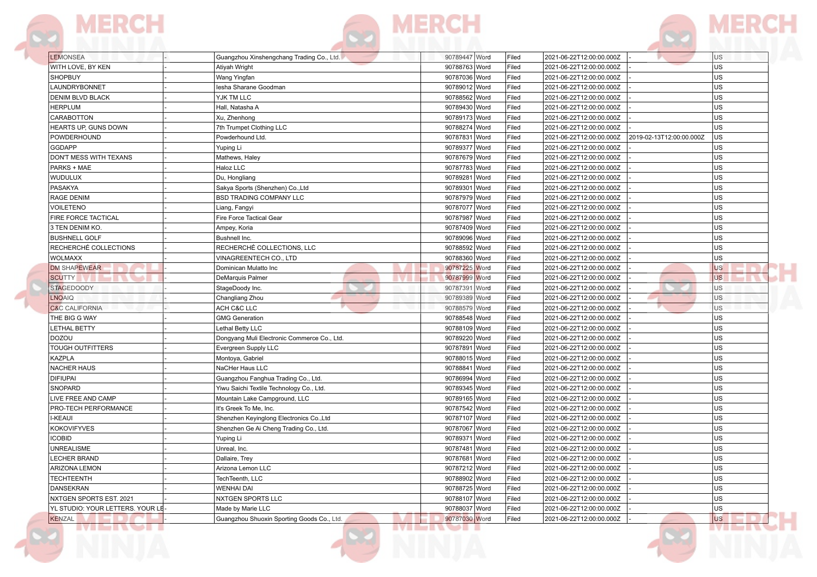|  | the property of the property of |  |
|--|---------------------------------|--|
|  |                                 |  |



| <b>THE REAL PROPERTY</b> |  |
|--------------------------|--|

| <b>LEMONSEA</b>                  | Guangzhou Xinshengchang Trading Co., Ltd.   | 90789447 Word    | Filed | 2021-06-22T12:00:00.000Z |                          | US            |
|----------------------------------|---------------------------------------------|------------------|-------|--------------------------|--------------------------|---------------|
| WITH LOVE, BY KEN                | Atiyah Wright                               | 90788763 Word    | Filed | 2021-06-22T12:00:00.000Z |                          | <b>US</b>     |
| <b>SHOPBUY</b>                   | Wang Yingfan                                | 90787036 Word    | Filed | 2021-06-22T12:00:00.000Z |                          | <b>US</b>     |
| LAUNDRYBONNET                    | lesha Sharane Goodman                       | 90789012 Word    | Filed | 2021-06-22T12:00:00.000Z |                          | <b>US</b>     |
| <b>DENIM BLVD BLACK</b>          | YJK TM LLC                                  | 90788562 Word    | Filed | 2021-06-22T12:00:00.000Z |                          | <b>US</b>     |
| <b>HERPLUM</b>                   | Hall, Natasha A                             | 90789430 Word    | Filed | 2021-06-22T12:00:00.000Z |                          | <b>US</b>     |
| CARABOTTON                       | Xu, Zhenhong                                | 90789173 Word    | Filed | 2021-06-22T12:00:00.000Z |                          | <b>US</b>     |
| <b>HEARTS UP, GUNS DOWN</b>      | 7th Trumpet Clothing LLC                    | 90788274 Word    | Filed | 2021-06-22T12:00:00.000Z |                          | <b>US</b>     |
| POWDERHOUND                      | Powderhound Ltd.                            | 90787831<br>Word | Filed | 2021-06-22T12:00:00.000Z | 2019-02-13T12:00:00.000Z | <b>US</b>     |
| GGDAPP                           | Yuping Li                                   | 90789377 Word    | Filed | 2021-06-22T12:00:00.000Z |                          | <b>US</b>     |
| DON'T MESS WITH TEXANS           | Mathews, Haley                              | 90787679 Word    | Filed | 2021-06-22T12:00:00.000Z |                          | US            |
| PARKS + MAE                      | Haloz LLC                                   | 90787783 Word    | Filed | 2021-06-22T12:00:00.000Z |                          | <b>US</b>     |
| <b>WUDULUX</b>                   | Du, Hongliang                               | 90789281 Word    | Filed | 2021-06-22T12:00:00.000Z |                          | US            |
| <b>PASAKYA</b>                   | Sakya Sports (Shenzhen) Co., Ltd            | 90789301 Word    | Filed | 2021-06-22T12:00:00.000Z |                          | <b>US</b>     |
| RAGE DENIM                       | <b>BSD TRADING COMPANY LLC</b>              | 90787979 Word    | Filed | 2021-06-22T12:00:00.000Z |                          | <b>US</b>     |
| <b>VOILETENO</b>                 | Liang, Fangyi                               | 90787077 Word    | Filed | 2021-06-22T12:00:00.000Z |                          | <b>US</b>     |
| FIRE FORCE TACTICAL              | <b>Fire Force Tactical Gear</b>             | 90787987 Word    | Filed | 2021-06-22T12:00:00.000Z |                          | <b>US</b>     |
| 3 TEN DENIM KO.                  | Ampey, Koria                                | 90787409 Word    | Filed | 2021-06-22T12:00:00.000Z |                          | <b>US</b>     |
| <b>BUSHNELL GOLF</b>             | Bushnell Inc.                               | 90789096 Word    | Filed | 2021-06-22T12:00:00.000Z |                          | <b>US</b>     |
| RECHERCHÉ COLLECTIONS            | RECHERCHÉ COLLECTIONS, LLC                  | 90788592 Word    | Filed | 2021-06-22T12:00:00.000Z |                          | <b>US</b>     |
| <b>WOLMAXX</b>                   | VINAGREENTECH CO., LTD                      | 90788360 Word    | Filed | 2021-06-22T12:00:00.000Z |                          | <b>US</b>     |
| <b>DM SHAPEWEAR</b>              | Dominican Mulatto Inc                       | 90787225 Word    | Filed | 2021-06-22T12:00:00.000Z |                          | <b>US</b>     |
| <b>SCUTTY</b>                    | DeMarquis Palmer                            | 90787999 Word    | Filed | 2021-06-22T12:00:00.000Z |                          | <b>US</b>     |
| <b>STAGEDOODY</b>                | StageDoody Inc.                             | 90787391 Word    | Filed | 2021-06-22T12:00:00.000Z |                          | US            |
| <b>LNOAIQ</b>                    | Changliang Zhou                             | 90789389 Word    | Filed | 2021-06-22T12:00:00.000Z |                          | US            |
| <b>C&amp;C CALIFORNIA</b>        | ACH C&C LLC                                 | 90788579 Word    | Filed | 2021-06-22T12:00:00.000Z |                          | US            |
| THE BIG G WAY                    | <b>GMG Generation</b>                       | 90788548 Word    | Filed | 2021-06-22T12:00:00.000Z |                          | <b>US</b>     |
| <b>LETHAL BETTY</b>              | Lethal Betty LLC                            | 90788109 Word    | Filed | 2021-06-22T12:00:00.000Z |                          | <b>US</b>     |
| <b>DOZOU</b>                     | Dongyang Muli Electronic Commerce Co., Ltd. | 90789220 Word    | Filed | 2021-06-22T12:00:00.000Z |                          | US            |
| <b>TOUGH OUTFITTERS</b>          | Evergreen Supply LLC                        | 90787891 Word    | Filed | 2021-06-22T12:00:00.000Z |                          | US            |
| <b>KAZPLA</b>                    | Montoya, Gabriel                            | 90788015 Word    | Filed | 2021-06-22T12:00:00.000Z |                          | US            |
| <b>NACHER HAUS</b>               | NaCHer Haus LLC                             | 90788841<br>Word | Filed | 2021-06-22T12:00:00.000Z |                          | <b>US</b>     |
| <b>DIFIUPAI</b>                  | Guangzhou Fanghua Trading Co., Ltd.         | 90786994 Word    | Filed | 2021-06-22T12:00:00.000Z |                          | <b>US</b>     |
| SNOPARD                          | Yiwu Saichi Textile Technology Co., Ltd.    | 90789345 Word    | Filed | 2021-06-22T12:00:00.000Z |                          | <b>US</b>     |
| LIVE FREE AND CAMP               | Mountain Lake Campground, LLC               | 90789165 Word    | Filed | 2021-06-22T12:00:00.000Z |                          | <b>US</b>     |
| PRO-TECH PERFORMANCE             | It's Greek To Me, Inc.                      | 90787542 Word    | Filed | 2021-06-22T12:00:00.000Z |                          | <b>US</b>     |
| <b>I-KEAUI</b>                   | Shenzhen Keyinglong Electronics Co., Ltd    | 90787107 Word    | Filed | 2021-06-22T12:00:00.000Z |                          | <b>US</b>     |
| <b>KOKOVIFYVES</b>               | Shenzhen Ge Ai Cheng Trading Co., Ltd.      | 90787067 Word    | Filed | 2021-06-22T12:00:00.000Z |                          | <b>US</b>     |
| <b>ICOBID</b>                    | Yuping Li                                   | 90789371 Word    | Filed | 2021-06-22T12:00:00.000Z |                          | <b>US</b>     |
| <b>UNREALISME</b>                | Unreal, Inc.                                | 90787481 Word    | Filed | 2021-06-22T12:00:00.000Z |                          | <b>US</b>     |
| LECHER BRAND                     | Dallaire, Trey                              | 90787681 Word    | Filed | 2021-06-22T12:00:00.000Z |                          | <b>US</b>     |
| ARIZONA LEMON                    | Arizona Lemon LLC                           | 90787212 Word    | Filed | 2021-06-22T12:00:00.000Z |                          | <b>US</b>     |
| <b>TECHTEENTH</b>                | TechTeenth, LLC                             | 90788902 Word    | Filed | 2021-06-22T12:00:00.000Z |                          | <b>US</b>     |
| <b>DANSEKRAN</b>                 | <b>WENHAI DAI</b>                           | 90788725 Word    | Filed | 2021-06-22T12:00:00.000Z |                          | US            |
| NXTGEN SPORTS EST. 2021          | NXTGEN SPORTS LLC                           | 90788107 Word    | Filed | 2021-06-22T12:00:00.000Z |                          | <b>US</b>     |
| YL STUDIO: YOUR LETTERS. YOUR LE | Made by Marie LLC                           | 90788037 Word    | Filed | 2021-06-22T12:00:00.000Z |                          | US            |
| KENZAL                           | Guangzhou Shuoxin Sporting Goods Co., Ltd.  | 90787030 Word    | Filed | 2021-06-22T12:00:00.000Z |                          | <b>US</b>     |
| n bin s                          |                                             | <b>IVIE IVE</b>  |       |                          |                          | <u>ivi – </u> |

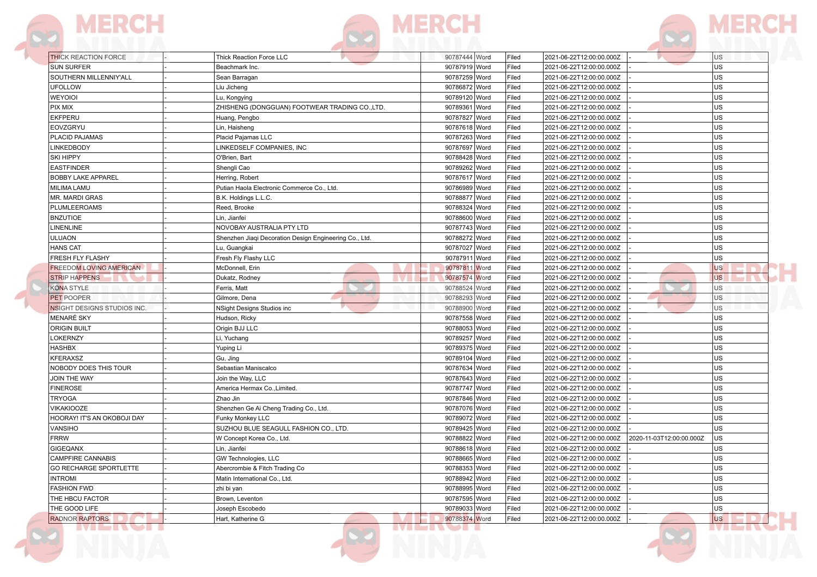

| <b>THICK REACTION FORCE</b>        | Thick Reaction Force LLC                                      | 90787444 Word | Filed | 2021-06-22T12:00:00.000Z                             | <b>US</b>       |
|------------------------------------|---------------------------------------------------------------|---------------|-------|------------------------------------------------------|-----------------|
| <b>SUN SURFER</b>                  | Beachmark Inc.                                                | 90787919 Word | Filed | 2021-06-22T12:00:00.000Z                             | <b>US</b>       |
| SOUTHERN MILLENNIY'ALL             | Sean Barragan                                                 | 90787259 Word | Filed | 2021-06-22T12:00:00.000Z                             | US              |
| <b>UFOLLOW</b>                     |                                                               | 90786872 Word | Filed | 2021-06-22T12:00:00.000Z                             | <b>US</b>       |
| WEYOIOI                            | Liu Jicheng                                                   | 90789120 Word | Filed | 2021-06-22T12:00:00.000Z                             | <b>US</b>       |
| PIX MIX                            | Lu, Kongying<br>ZHISHENG (DONGGUAN) FOOTWEAR TRADING CO.,LTD. | 90789361 Word | Filed | 2021-06-22T12:00:00.000Z                             | US              |
| <b>EKFPERU</b>                     |                                                               |               | Filed |                                                      | US              |
|                                    | Huang, Pengbo                                                 | 90787827 Word | Filed | 2021-06-22T12:00:00.000Z<br>2021-06-22T12:00:00.000Z | US              |
| EOVZGRYU<br>PLACID PAJAMAS         | Lin, Haisheng                                                 | 90787618 Word | Filed |                                                      | lus             |
| LINKEDBODY                         | Placid Pajamas LLC<br>LINKEDSELF COMPANIES, INC               | 90787263 Word | Filed | 2021-06-22T12:00:00.000Z<br>2021-06-22T12:00:00.000Z | lus             |
|                                    |                                                               | 90787697 Word |       |                                                      |                 |
| <b>SKI HIPPY</b>                   | O'Brien, Bart                                                 | 90788428 Word | Filed | 2021-06-22T12:00:00.000Z                             | US<br><b>US</b> |
| <b>EASTFINDER</b>                  | Shengli Cao                                                   | 90789262 Word | Filed | 2021-06-22T12:00:00.000Z                             |                 |
| <b>BOBBY LAKE APPAREL</b>          | Herring, Robert                                               | 90787617 Word | Filed | 2021-06-22T12:00:00.000Z                             | <b>US</b>       |
| <b>MILIMA LAMU</b>                 | Putian Haola Electronic Commerce Co., Ltd.                    | 90786989 Word | Filed | 2021-06-22T12:00:00.000Z                             | lus             |
| MR. MARDI GRAS                     | B.K. Holdings L.L.C.                                          | 90788877 Word | Filed | 2021-06-22T12:00:00.000Z                             | US              |
| PLUMLEEROAMS                       | Reed, Brooke                                                  | 90788324 Word | Filed | 2021-06-22T12:00:00.000Z                             | US              |
| <b>BNZUTIOE</b>                    | Lin, Jianfei                                                  | 90788600 Word | Filed | 2021-06-22T12:00:00.000Z                             | US              |
| <b>LINENLINE</b>                   | NOVOBAY AUSTRALIA PTY LTD                                     | 90787743 Word | Filed | 2021-06-22T12:00:00.000Z                             | lus             |
| ULUAON                             | Shenzhen Jiaqi Decoration Design Engineering Co., Ltd.        | 90788272 Word | Filed | 2021-06-22T12:00:00.000Z                             | US              |
| <b>HANS CAT</b>                    | Lu, Guangkai                                                  | 90787027 Word | Filed | 2021-06-22T12:00:00.000Z                             | US              |
| FRESH FLY FLASHY                   | Fresh Fly Flashy LLC                                          | 90787911 Word | Filed | 2021-06-22T12:00:00.000Z                             | US              |
| <b>FREEDOM LOVING AMERICAN</b>     | McDonnell, Erin                                               | 90787811 Word | Filed | 2021-06-22T12:00:00.000Z                             | <b>US</b>       |
| <b>STRIP HAPPENS</b>               | Dukatz, Rodney                                                | 90787574 Word | Filed | 2021-06-22T12:00:00.000Z                             | <b>US</b>       |
| <b>KONA STYLE</b>                  | Ferris, Matt                                                  | 90788524 Word | Filed | 2021-06-22T12:00:00.000Z                             | <b>US</b>       |
| PET POOPER                         | Gilmore, Dena                                                 | 90788293 Word | Filed | 2021-06-22T12:00:00.000Z                             | U <sub>S</sub>  |
| <b>NSIGHT DESIGNS STUDIOS INC.</b> | NSight Designs Studios inc                                    | 90788900 Word | Filed | 2021-06-22T12:00:00.000Z                             | <b>US</b>       |
| MENARÉ SKY                         | Hudson, Ricky                                                 | 90787558 Word | Filed | 2021-06-22T12:00:00.000Z                             | lus             |
| <b>ORIGIN BUILT</b>                | Origin BJJ LLC                                                | 90788053 Word | Filed | 2021-06-22T12:00:00.000Z                             | lus             |
| LOKERNZY                           | Li, Yuchang                                                   | 90789257 Word | Filed | 2021-06-22T12:00:00.000Z                             | lus             |
| <b>HASHBX</b>                      | Yuping Li                                                     | 90789375 Word | Filed | 2021-06-22T12:00:00.000Z                             | US              |
| <b>KFERAXSZ</b>                    | Gu, Jing                                                      | 90789104 Word | Filed | 2021-06-22T12:00:00.000Z                             | <b>US</b>       |
| NOBODY DOES THIS TOUR              | Sebastian Maniscalco                                          | 90787634 Word | Filed | 2021-06-22T12:00:00.000Z                             | <b>US</b>       |
| JOIN THE WAY                       | Join the Way, LLC                                             | 90787643 Word | Filed | 2021-06-22T12:00:00.000Z                             | <b>US</b>       |
| <b>FINEROSE</b>                    | America Hermax Co., Limited.                                  | 90787747 Word | Filed | 2021-06-22T12:00:00.000Z                             | <b>US</b>       |
| <b>TRYOGA</b>                      | Zhao Jin                                                      | 90787846 Word | Filed | 2021-06-22T12:00:00.000Z                             | <b>US</b>       |
| <b>VIKAKIOOZE</b>                  | Shenzhen Ge Ai Cheng Trading Co., Ltd.                        | 90787076 Word | Filed | 2021-06-22T12:00:00.000Z                             | lus             |
| HOORAY! IT'S AN OKOBOJI DAY        | Funky Monkey LLC                                              | 90789072 Word | Filed | 2021-06-22T12:00:00.000Z                             | US              |
| <b>VANSIHO</b>                     | SUZHOU BLUE SEAGULL FASHION CO., LTD.                         | 90789425 Word | Filed | 2021-06-22T12:00:00.000Z                             | <b>US</b>       |
| FRRW                               | W Concept Korea Co., Ltd.                                     | 90788822 Word | Filed | 2021-06-22T12:00:00.000Z 2020-11-03T12:00:00.000Z    | lus             |
| <b>GIGEQANX</b>                    | Lin, Jianfei                                                  | 90788618 Word | Filed | 2021-06-22T12:00:00.000Z                             | lus             |
| <b>CAMPFIRE CANNABIS</b>           | GW Technologies, LLC                                          | 90788665 Word | Filed | 2021-06-22T12:00:00.000Z                             | US              |
| <b>GO RECHARGE SPORTLETTE</b>      | Abercrombie & Fitch Trading Co                                | 90788353 Word | Filed | 2021-06-22T12:00:00.000Z                             | US              |
| <b>INTROMI</b>                     | Matin International Co., Ltd.                                 | 90788942 Word | Filed | 2021-06-22T12:00:00.000Z                             | us              |
| <b>FASHION FWD</b>                 | zhi bi yan                                                    | 90788995 Word | Filed | 2021-06-22T12:00:00.000Z                             | us              |
| THE HBCU FACTOR                    | Brown, Leventon                                               | 90787595 Word | Filed | 2021-06-22T12:00:00.000Z                             | us              |
| THE GOOD LIFE                      | Joseph Escobedo                                               | 90789033 Word | Filed | 2021-06-22T12:00:00.000Z                             | lus             |
| <b>RADNOR RAPTORS</b>              | Hart, Katherine G                                             | 90788374 Word | Filed | 2021-06-22T12:00:00.000Z                             | <b>US</b>       |



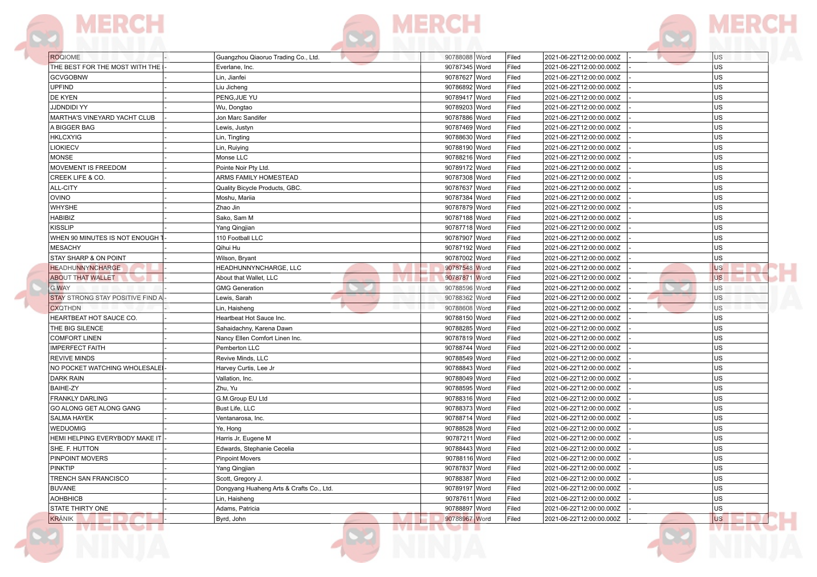

| <b>ROQIOME</b>                   | Guangzhou Qiaoruo Trading Co., Ltd.      | 90788088 Word | Filed | 2021-06-22T12:00:00.000Z | U <sub>S</sub> |
|----------------------------------|------------------------------------------|---------------|-------|--------------------------|----------------|
| THE BEST FOR THE MOST WITH THE   | Everlane, Inc.                           | 90787345 Word | Filed | 2021-06-22T12:00:00.000Z | <b>US</b>      |
| <b>GCVGOBNW</b>                  | Lin, Jianfei                             | 90787627 Word | Filed | 2021-06-22T12:00:00.000Z | <b>US</b>      |
| <b>UPFIND</b>                    | Liu Jicheng                              | 90786892 Word | Filed | 2021-06-22T12:00:00.000Z | <b>US</b>      |
| <b>DE KYEN</b>                   | PENG, JUE YU                             | 90789417 Word | Filed | 2021-06-22T12:00:00.000Z | <b>US</b>      |
| <b>JJDNDIDI YY</b>               | Wu, Dongtao                              | 90789203 Word | Filed | 2021-06-22T12:00:00.000Z | <b>US</b>      |
| MARTHA'S VINEYARD YACHT CLUB     | Jon Marc Sandifer                        | 90787886 Word | Filed | 2021-06-22T12:00:00.000Z | <b>US</b>      |
| A BIGGER BAG                     | Lewis, Justyn                            | 90787469 Word | Filed | 2021-06-22T12:00:00.000Z | <b>US</b>      |
| <b>HKLCXYIG</b>                  | Lin, Tingting                            | 90788630 Word | Filed | 2021-06-22T12:00:00.000Z | <b>US</b>      |
| LIOKIECV                         | Lin, Ruiying                             | 90788190 Word | Filed | 2021-06-22T12:00:00.000Z | <b>US</b>      |
| <b>MONSE</b>                     | Monse LLC                                | 90788216 Word | Filed | 2021-06-22T12:00:00.000Z | <b>US</b>      |
| MOVEMENT IS FREEDOM              | Pointe Noir Pty Ltd.                     | 90789172 Word | Filed | 2021-06-22T12:00:00.000Z | US             |
| CREEK LIFE & CO.                 | ARMS FAMILY HOMESTEAD                    | 90787308 Word | Filed | 2021-06-22T12:00:00.000Z | US             |
| <b>ALL-CITY</b>                  | Quality Bicycle Products, GBC            | 90787637 Word | Filed | 2021-06-22T12:00:00.000Z | US             |
| <b>OVINO</b>                     | Moshu. Mariia                            | 90787384 Word | Filed | 2021-06-22T12:00:00.000Z | US             |
| <b>WHYSHE</b>                    | Zhao Jin                                 | 90787879 Word | Filed | 2021-06-22T12:00:00.000Z | US             |
| <b>HABIBIZ</b>                   | Sako, Sam M                              | 90787188 Word | Filed | 2021-06-22T12:00:00.000Z | <b>US</b>      |
| <b>KISSLIP</b>                   | Yang Qingjian                            | 90787718 Word | Filed | 2021-06-22T12:00:00.000Z | <b>US</b>      |
| WHEN 90 MINUTES IS NOT ENOUGH    | 110 Football LLC                         | 90787907 Word | Filed | 2021-06-22T12:00:00.000Z | <b>US</b>      |
| <b>MESACHY</b>                   | Qihui Hu                                 | 90787192 Word | Filed | 2021-06-22T12:00:00.000Z | <b>US</b>      |
| <b>STAY SHARP &amp; ON POINT</b> | Wilson, Bryant                           | 90787002 Word | Filed | 2021-06-22T12:00:00.000Z | <b>US</b>      |
| <b>HEADHUNNYNCHARGE</b>          | HEADHUNNYNCHARGE, LLC                    | 90787548 Word | Filed | 2021-06-22T12:00:00.000Z | <b>US</b>      |
| <b>ABOUT THAT WALLET</b>         | About that Wallet, LLC                   | 90787871 Word | Filed | 2021-06-22T12:00:00.000Z | <b>US</b>      |
| <b>G WAY</b>                     | <b>GMG Generation</b>                    | 90788596 Word | Filed | 2021-06-22T12:00:00.000Z | <b>US</b>      |
| STAY STRONG STAY POSITIVE FIND A | Lewis, Sarah                             | 90788362 Word | Filed | 2021-06-22T12:00:00.000Z | <b>US</b>      |
| <b>CXQTHDN</b>                   | Lin, Haisheng                            | 90788608 Word | Filed | 2021-06-22T12:00:00.000Z | <b>US</b>      |
| HEARTBEAT HOT SAUCE CO.          | Heartbeat Hot Sauce Inc.                 | 90788150 Word | Filed | 2021-06-22T12:00:00.000Z | US             |
| THE BIG SILENCE                  | Sahaidachny, Karena Dawn                 | 90788285 Word | Filed | 2021-06-22T12:00:00.000Z | US             |
| <b>COMFORT LINEN</b>             | Nancy Ellen Comfort Linen Inc.           | 90787819 Word | Filed | 2021-06-22T12:00:00.000Z | <b>US</b>      |
| <b>IMPERFECT FAITH</b>           | Pemberton LLC                            | 90788744 Word | Filed | 2021-06-22T12:00:00.000Z | <b>US</b>      |
| <b>REVIVE MINDS</b>              | Revive Minds, LLC                        | 90788549 Word | Filed | 2021-06-22T12:00:00.000Z | <b>US</b>      |
| NO POCKET WATCHING WHOLESALE     | Harvey Curtis, Lee Jr                    | 90788843 Word | Filed | 2021-06-22T12:00:00.000Z | <b>US</b>      |
| <b>DARK RAIN</b>                 | Vallation, Inc.                          | 90788049 Word | Filed | 2021-06-22T12:00:00.000Z | <b>US</b>      |
| <b>BAIHE-ZY</b>                  | Zhu, Yu                                  | 90788595 Word | Filed | 2021-06-22T12:00:00.000Z | <b>US</b>      |
| <b>FRANKLY DARLING</b>           | G.M.Group EU Ltd                         | 90788316 Word | Filed | 2021-06-22T12:00:00.000Z | <b>US</b>      |
| GO ALONG GET ALONG GANG          | Bust Life, LLC                           | 90788373 Word | Filed | 2021-06-22T12:00:00.000Z | <b>US</b>      |
| <b>SALMA HAYEK</b>               | Ventanarosa, Inc.                        | 90788714 Word | Filed | 2021-06-22T12:00:00.000Z | US             |
| <b>WEDUOMIG</b>                  | Ye, Hong                                 | 90788528 Word | Filed | 2021-06-22T12:00:00.000Z | US             |
| HEMI HELPING EVERYBODY MAKE IT   | Harris Jr, Eugene M                      | 90787211 Word | Filed | 2021-06-22T12:00:00.000Z | US             |
| SHE. F. HUTTON                   | Edwards, Stephanie Cecelia               | 90788443 Word | Filed | 2021-06-22T12:00:00.000Z | <b>US</b>      |
| <b>PINPOINT MOVERS</b>           | <b>Pinpoint Movers</b>                   | 90788116 Word | Filed | 2021-06-22T12:00:00.000Z | <b>US</b>      |
| PINKTIP                          | Yang Qingjian                            | 90787837 Word | Filed | 2021-06-22T12:00:00.000Z | <b>US</b>      |
| TRENCH SAN FRANCISCO             | Scott, Gregory J.                        | 90788387 Word | Filed | 2021-06-22T12:00:00.000Z | <b>US</b>      |
| <b>BUVANE</b>                    | Dongyang Huaheng Arts & Crafts Co., Ltd. | 90789197 Word | Filed | 2021-06-22T12:00:00.000Z | <b>US</b>      |
| <b>AOHBHICB</b>                  | Lin, Haisheng                            | 90787611 Word | Filed | 2021-06-22T12:00:00.000Z | <b>US</b>      |
| STATE THIRTY ONE                 | Adams, Patricia                          | 90788897 Word | Filed | 2021-06-22T12:00:00.000Z | US             |
| <b>KRÄNIK</b>                    | Byrd, John                               | 90788967 Word | Filed | 2021-06-22T12:00:00.000Z | <b>US</b>      |
|                                  |                                          |               |       |                          |                |

**IVIERVE** Ñ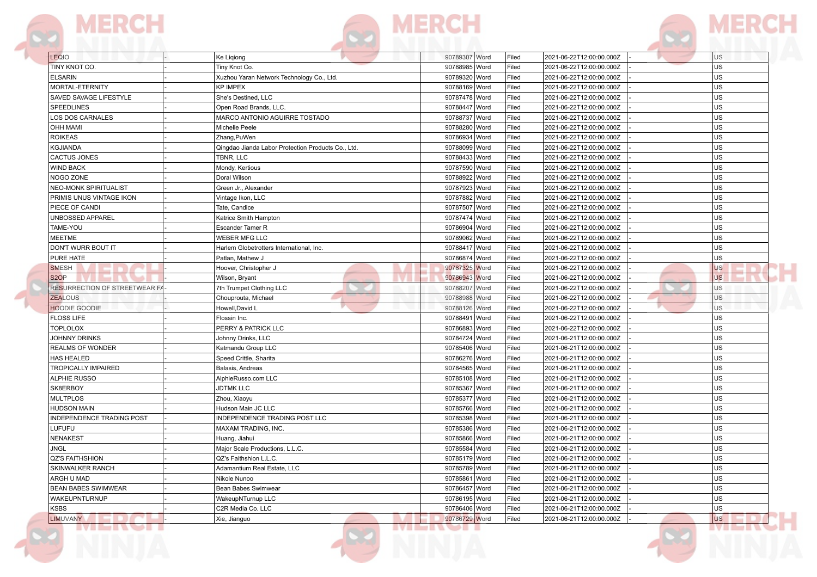|  | v n me il v Tell |  |
|--|------------------|--|
|  |                  |  |



| LEQIO                         | Ke Liqiong                                         | 90789307 Word   | Filed | 2021-06-22T12:00:00.000Z | U <sub>S</sub> |
|-------------------------------|----------------------------------------------------|-----------------|-------|--------------------------|----------------|
| TINY KNOT CO.                 | Tiny Knot Co.                                      | 90788985 Word   | Filed | 2021-06-22T12:00:00.000Z | US.            |
| <b>ELSARIN</b>                | Xuzhou Yaran Network Technology Co., Ltd.          | 90789320 Word   | Filed | 2021-06-22T12:00:00.000Z | lus            |
| MORTAL-ETERNITY               | <b>KP IMPEX</b>                                    | 90788169 Word   | Filed | 2021-06-22T12:00:00.000Z | lus.           |
| SAVED SAVAGE LIFESTYLE        | She's Destined, LLC                                | 90787478 Word   | Filed | 2021-06-22T12:00:00.000Z | lus            |
| <b>SPEEDLINES</b>             | Open Road Brands, LLC.                             | 90788447 Word   | Filed | 2021-06-22T12:00:00.000Z | lus            |
| LOS DOS CARNALES              | MARCO ANTONIO AGUIRRE TOSTADO                      | 90788737 Word   | Filed | 2021-06-22T12:00:00.000Z | lus            |
| <b>OHH MAMI</b>               | Michelle Peele                                     | 90788280 Word   | Filed | 2021-06-22T12:00:00.000Z | lus            |
| <b>ROIKEAS</b>                | Zhang, PuWen                                       | 90786934 Word   | Filed | 2021-06-22T12:00:00.000Z | lus            |
| <b>KGJIANDA</b>               | Qingdao Jianda Labor Protection Products Co., Ltd. | 90788099 Word   | Filed | 2021-06-22T12:00:00.000Z | lus            |
| CACTUS JONES                  | TBNR, LLC                                          | 90788433 Word   | Filed | 2021-06-22T12:00:00.000Z | lus            |
| <b>WIND BACK</b>              | Mondy, Kertious                                    | 90787590 Word   | Filed | 2021-06-22T12:00:00.000Z | lus            |
| NOGO ZONE                     | Doral Wilson                                       | 90788922 Word   | Filed | 2021-06-22T12:00:00.000Z | lus.           |
| <b>NEO-MONK SPIRITUALIST</b>  | Green Jr., Alexander                               | 90787923 Word   | Filed | 2021-06-22T12:00:00.000Z | lus            |
| PRIMIS UNUS VINTAGE IKON      | Vintage Ikon, LLC                                  | 90787882 Word   | Filed | 2021-06-22T12:00:00.000Z | lus            |
| PIECE OF CANDI                | Tate, Candice                                      | 90787507 Word   | Filed | 2021-06-22T12:00:00.000Z | lus            |
| UNBOSSED APPAREL              | Katrice Smith Hampton                              | 90787474 Word   | Filed | 2021-06-22T12:00:00.000Z | lus            |
| TAME-YOU                      | Escander Tamer R                                   | 90786904 Word   | Filed | 2021-06-22T12:00:00.000Z | lus            |
| <b>MEETME</b>                 | <b>WEBER MFG LLC</b>                               | 90789062 Word   | Filed | 2021-06-22T12:00:00.000Z | lus            |
| DON'T WURR BOUT IT            | Harlem Globetrotters International, Inc.           | 90788417 Word   | Filed | 2021-06-22T12:00:00.000Z | lus            |
| PURE HATE                     | Patlan, Mathew J                                   | 90786874 Word   | Filed | 2021-06-22T12:00:00.000Z | us             |
| <b>SMESH</b>                  | Hoover, Christopher J                              | 90787325 Word   | Filed | 2021-06-22T12:00:00.000Z | <b>US</b>      |
| S <sub>2</sub> O <sub>P</sub> | Wilson, Bryant                                     | 90786943 Word   | Filed | 2021-06-22T12:00:00.000Z | <b>US</b>      |
| RESURRECTION OF STREETWEAR FA | 7th Trumpet Clothing LLC                           | 90788207 Word   | Filed | 2021-06-22T12:00:00.000Z | <b>US</b>      |
| <b>ZEALOUS</b>                | Chouprouta, Michael                                | 90788988 Word   | Filed | 2021-06-22T12:00:00.000Z | U <sub>S</sub> |
| <b>HOODIE GOODIE</b>          | Howell, David L                                    | 90788126 Word   | Filed | 2021-06-22T12:00:00.000Z | <b>US</b>      |
| <b>FLOSS LIFE</b>             | Flossin Inc.                                       | 90788491 Word   | Filed | 2021-06-22T12:00:00.000Z | lus            |
| <b>TOPLOLOX</b>               | PERRY & PATRICK LLC                                | 90786893 Word   | Filed | 2021-06-22T12:00:00.000Z | lus            |
| JOHNNY DRINKS                 | Johnny Drinks, LLC                                 | 90784724 Word   | Filed | 2021-06-21T12:00:00.000Z | lus            |
| REALMS OF WONDER              | Katmandu Group LLC                                 | 90785406 Word   | Filed | 2021-06-21T12:00:00.000Z | lus            |
| HAS HEALED                    | Speed Crittle, Sharita                             | 90786276 Word   | Filed | 2021-06-21T12:00:00.000Z | lus            |
| <b>TROPICALLY IMPAIRED</b>    | Balasis, Andreas                                   | 90784565 Word   | Filed | 2021-06-21T12:00:00.000Z | lus            |
| <b>ALPHIE RUSSO</b>           | AlphieRusso.com LLC                                | 90785108 Word   | Filed | 2021-06-21T12:00:00.000Z | lus.           |
| SK8ERBOY                      | <b>JDTMK LLC</b>                                   | 90785367 Word   | Filed | 2021-06-21T12:00:00.000Z | lus            |
| <b>MULTPLOS</b>               | Zhou, Xiaoyu                                       | 90785377 Word   | Filed | 2021-06-21T12:00:00.000Z | lus            |
| <b>HUDSON MAIN</b>            | Hudson Main JC LLC                                 | 90785766 Word   | Filed | 2021-06-21T12:00:00.000Z | lus            |
| INDEPENDENCE TRADING POST     | INDEPENDENCE TRADING POST LLC                      | 90785398 Word   | Filed | 2021-06-21T12:00:00.000Z | lus            |
| LUFUFU                        | MAXAM TRADING, INC.                                | 90785386 Word   | Filed | 2021-06-21T12:00:00.000Z | lus            |
| <b>NENAKEST</b>               | Huang, Jiahui                                      | 90785866 Word   | Filed | 2021-06-21T12:00:00.000Z | lus            |
| JNGL                          | Major Scale Productions, L.L.C.                    | 90785584   Word | Filed | 2021-06-21T12:00:00.000Z | ∣∪s            |
| <b>QZ'S FAITHSHION</b>        | QZ's Faithshion L.L.C.                             | 90785179 Word   | Filed | 2021-06-21T12:00:00.000Z | lus            |
| SKINWALKER RANCH              | Adamantium Real Estate, LLC                        | 90785789 Word   | Filed | 2021-06-21T12:00:00.000Z | US.            |
| ARGH U MAD                    | Nikole Nunoo                                       | 90785861 Word   | Filed | 2021-06-21T12:00:00.000Z | <b>US</b>      |
| BEAN BABES SWIMWEAR           | Bean Babes Swimwear                                | 90786457 Word   | Filed | 2021-06-21T12:00:00.000Z | lus            |
| WAKEUPNTURNUP                 | WakeupNTurnup LLC                                  | 90786195 Word   | Filed | 2021-06-21T12:00:00.000Z | us             |
| <b>KSBS</b>                   | C2R Media Co. LLC                                  | 90786406 Word   | Filed | 2021-06-21T12:00:00.000Z | lus.           |
| LIMUVANY<br>.                 | Xie, Jianguo                                       | 90786729 Word   | Filed | 2021-06-21T12:00:00.000Z | lus            |
|                               |                                                    |                 |       |                          |                |



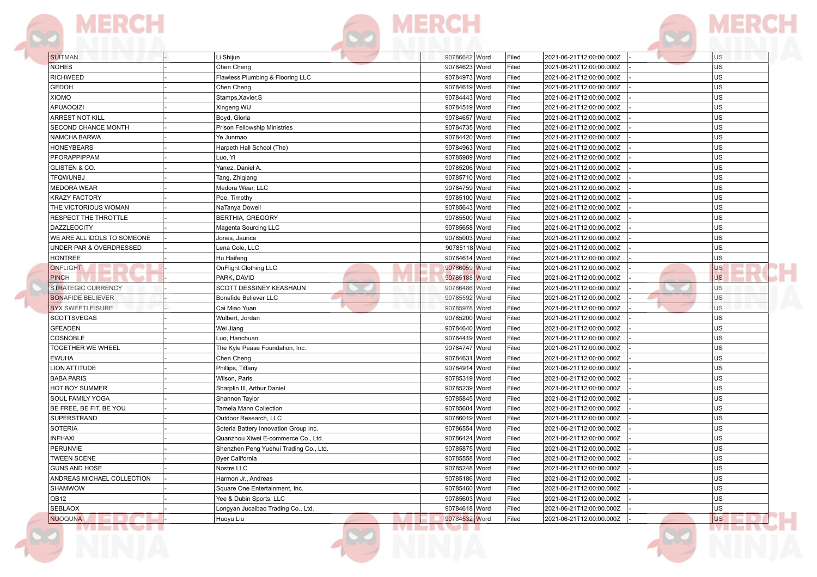

| <b>SUITMAN</b>                            | Li Shijun                              | 90786642 Word   | Filed | 2021-06-21T12:00:00.000Z                             | US        |
|-------------------------------------------|----------------------------------------|-----------------|-------|------------------------------------------------------|-----------|
| <b>NOHES</b>                              | Chen Cheng                             | 90784623 Word   | Filed | 2021-06-21T12:00:00.000Z                             | <b>US</b> |
| <b>RICHWEED</b>                           | Flawless Plumbing & Flooring LLC       | 90784973 Word   | Filed | 2021-06-21T12:00:00.000Z                             | <b>US</b> |
| <b>GEDOH</b>                              | Chen Cheng                             | 90784619 Word   | Filed | 2021-06-21T12:00:00.000Z                             | <b>US</b> |
| <b>XIOMO</b>                              | Stamps, Xavier, S                      | 90784443 Word   | Filed | 2021-06-21T12:00:00.000Z                             | US        |
| <b>APUAOQIZI</b>                          | Xingeng WU                             | 90784519 Word   | Filed | 2021-06-21T12:00:00.000Z                             | <b>US</b> |
| ARREST NOT KILL                           | Boyd, Gloria                           | 90784657 Word   | Filed | 2021-06-21T12:00:00.000Z                             | US        |
| SECOND CHANCE MONTH                       | Prison Fellowship Ministries           | 90784735 Word   | Filed | 2021-06-21T12:00:00.000Z                             | US        |
| NAMCHA BARWA                              | Ye Junmao                              | 90784420 Word   | Filed | 2021-06-21T12:00:00.000Z                             | US        |
| <b>HONEYBEARS</b>                         | Harpeth Hall School (The)              | 90784963 Word   | Filed | 2021-06-21T12:00:00.000Z                             | US        |
| PPORAPPIPPAM                              | Luo, Yi                                | 90785989 Word   | Filed | 2021-06-21T12:00:00.000Z                             | <b>US</b> |
| GLISTEN & CO.                             | Yanez, Daniel A.                       | 90785206 Word   | Filed | 2021-06-21T12:00:00.000Z                             | <b>US</b> |
| <b>TFQWUNBJ</b>                           | Tang, Zhiqiang                         | 90785710 Word   | Filed | 2021-06-21T12:00:00.000Z                             | <b>US</b> |
| <b>MEDORA WEAR</b>                        | Medora Wear, LLC                       | 90784759 Word   | Filed | 2021-06-21T12:00:00.000Z                             | <b>US</b> |
| <b>KRAZY FACTORY</b>                      | Poe, Timothy                           | 90785100 Word   | Filed | 2021-06-21T12:00:00.000Z                             | US        |
| THE VICTORIOUS WOMAN                      | NaTanya Dowell                         | 90785643 Word   | Filed | 2021-06-21T12:00:00.000Z                             | US        |
| RESPECT THE THROTTLE                      | <b>BERTHIA, GREGORY</b>                | 90785500 Word   | Filed | 2021-06-21T12:00:00.000Z                             | US        |
| <b>DAZZLEOCITY</b>                        | Magenta Sourcing LLC                   | 90785658 Word   | Filed | 2021-06-21T12:00:00.000Z                             | US        |
| WE ARE ALL IDOLS TO SOMEONE               |                                        | 90785003 Word   | Filed |                                                      | US        |
| UNDER PAR & OVERDRESSED                   | Jones, Jaurice<br>Lena Cole, LLC       | 90785118 Word   | Filed | 2021-06-21T12:00:00.000Z<br>2021-06-21T12:00:00.000Z | US        |
| <b>HONTREE</b>                            | Hu Haifeng                             | 90784614 Word   | Filed | 2021-06-21T12:00:00.000Z                             | <b>US</b> |
| <b>ONFLIGHT</b>                           |                                        | 90786059 Word   | Filed |                                                      | US        |
|                                           | OnFlight Clothing LLC                  |                 |       | 2021-06-21T12:00:00.000Z                             | <b>US</b> |
| <b>PINCH</b><br><b>STRATEGIC CURRENCY</b> | PARK, DAVID                            | 90785188 Word   | Filed | 2021-06-21T12:00:00.000Z<br>2021-06-21T12:00:00.000Z |           |
|                                           | <b>SCOTT DESSINEY KEASHAUN</b>         | 90786486 Word   | Filed |                                                      | <b>US</b> |
| <b>BONAFIDE BELIEVER</b>                  | Bonafide Believer LLC                  | 90785592 Word   | Filed | 2021-06-21T12:00:00.000Z                             | US        |
| <b>BYX SWEETLEISURE</b>                   | Cai Miao Yuan                          | 90785978 Word   | Filed | 2021-06-21T12:00:00.000Z                             | <b>US</b> |
| <b>SCOTTSVEGAS</b>                        | Wulbert, Jordan                        | 90785200 Word   | Filed | 2021-06-21T12:00:00.000Z                             | US        |
| <b>GFEADEN</b>                            | Wei Jiang                              | 90784640 Word   | Filed | 2021-06-21T12:00:00.000Z                             | US        |
| COSNOBLE                                  | Luo, Hanchuan                          | 90784419 Word   | Filed | 2021-06-21T12:00:00.000Z                             | US        |
| <b>TOGETHER WE WHEEL</b>                  | The Kyle Pease Foundation, Inc.        | 90784747 Word   | Filed | 2021-06-21T12:00:00.000Z                             | US        |
| <b>EWUHA</b>                              | Chen Cheng                             | 90784631 Word   | Filed | 2021-06-21T12:00:00.000Z                             | <b>US</b> |
| <b>LION ATTITUDE</b>                      | Phillips, Tiffany                      | 90784914 Word   | Filed | 2021-06-21T12:00:00.000Z                             | <b>US</b> |
| <b>BABA PARIS</b>                         | Wilson, Paris                          | 90785319 Word   | Filed | 2021-06-21T12:00:00.000Z                             | <b>US</b> |
| HOT BOY SUMMER                            | Sharplin III, Arthur Daniel            | 90785239 Word   | Filed | 2021-06-21T12:00:00.000Z                             | US        |
| <b>SOUL FAMILY YOGA</b>                   | Shannon Taylor                         | 90785845 Word   | Filed | 2021-06-21T12:00:00.000Z                             | US        |
| BE FREE, BE FIT, BE YOU                   | Tamela Mann Collection                 | 90785604 Word   | Filed | 2021-06-21T12:00:00.000Z                             | <b>US</b> |
| SUPERSTRAND                               | Outdoor Research, LLC                  | 90786019 Word   | Filed | 2021-06-21T12:00:00.000Z                             | US        |
| <b>SOTERIA</b>                            | Soteria Battery Innovation Group Inc.  | 90786554 Word   | Filed | 2021-06-21T12:00:00.000Z                             | US        |
| <b>INFHAXI</b>                            | Quanzhou Xiwei E-commerce Co., Ltd.    | 90786424 Word   | Filed | 2021-06-21T12:00:00.000Z                             | <b>US</b> |
| <b>PERUNVIE</b>                           | Shenzhen Peng Yuehui Trading Co., Ltd. | 90785875   Word | Filed | 2021-06-21T12:00:00.000Z                             | US        |
| <b>TWEEN SCENE</b>                        | <b>Byer California</b>                 | 90785558 Word   | Filed | 2021-06-21T12:00:00.000Z                             | US        |
| GUNS AND HOSE                             | Nostre LLC                             | 90785248 Word   | Filed | 2021-06-21T12:00:00.000Z                             | US        |
| ANDREAS MICHAEL COLLECTION                | Harmon Jr., Andreas                    | 90785186 Word   | Filed | 2021-06-21T12:00:00.000Z                             | <b>US</b> |
| <b>SHAMWOW</b>                            | Square One Entertainment, Inc.         | 90785460 Word   | Filed | 2021-06-21T12:00:00.000Z                             | <b>US</b> |
| QB12                                      | Yee & Dubin Sports, LLC                | 90785603 Word   | Filed | 2021-06-21T12:00:00.000Z                             | US        |
| <b>SEBLAOX</b>                            | Longyan Jucaibao Trading Co., Ltd.     | 90784618 Word   | Filed | 2021-06-21T12:00:00.000Z                             | US        |
| NUOQUNA                                   | Huoyu Liu                              | 90784532 Word   | Filed | 2021-06-21T12:00:00.000Z                             | <b>US</b> |

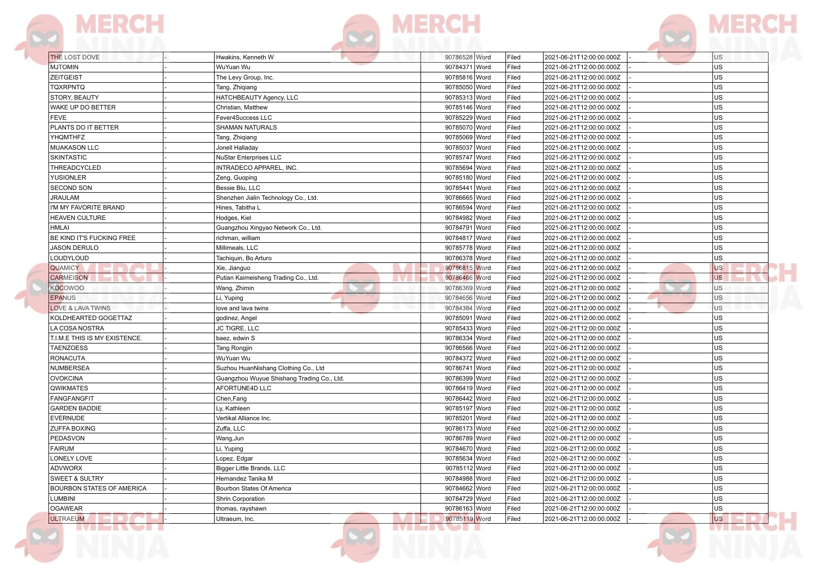|  |  | <b>THEFT WAS LITTLE FOR</b> |  |
|--|--|-----------------------------|--|



| <b>THE LOST DOVE</b>                             | Hwakins, Kenneth W                         | 90786528 Word   | Filed | 2021-06-21T12:00:00.000Z | <b>US</b> |
|--------------------------------------------------|--------------------------------------------|-----------------|-------|--------------------------|-----------|
| <b>MJTOMIN</b>                                   | WuYuan Wu                                  | 90784371 Word   | Filed | 2021-06-21T12:00:00.000Z | <b>US</b> |
| <b>ZEITGEIST</b>                                 | The Levy Group, Inc.                       | 90785816 Word   | Filed | 2021-06-21T12:00:00.000Z | <b>US</b> |
| <b>TQXRPNTQ</b>                                  | Tang, Zhiqiang                             | 90785050 Word   | Filed | 2021-06-21T12:00:00.000Z | <b>US</b> |
| STORY. BEAUTY                                    | HATCHBEAUTY Agency, LLC                    | 90785313 Word   | Filed | 2021-06-21T12:00:00.000Z | <b>US</b> |
| WAKE UP DO BETTER                                | Christian, Matthew                         | 90785146 Word   | Filed | 2021-06-21T12:00:00.000Z | <b>US</b> |
| <b>FEVE</b>                                      | Fever4Success LLC                          | 90785229 Word   | Filed | 2021-06-21T12:00:00.000Z | <b>US</b> |
| PLANTS DO IT BETTER                              | SHAMAN NATURALS                            | 90785070 Word   | Filed | 2021-06-21T12:00:00.000Z | US.       |
| <b>YHQMTHFZ</b>                                  | Tang, Zhiqiang                             | 90785069 Word   | Filed | 2021-06-21T12:00:00.000Z | <b>US</b> |
| <b>MUAKASON LLC</b>                              | Jonell Halladay                            | 90785037 Word   | Filed | 2021-06-21T12:00:00.000Z | <b>US</b> |
| <b>SKINTASTIC</b>                                | <b>NuStar Enterprises LLC</b>              | 90785747 Word   | Filed | 2021-06-21T12:00:00.000Z | US.       |
| THREADCYCLED                                     | INTRADECO APPAREL, INC.                    | 90785694 Word   | Filed | 2021-06-21T12:00:00.000Z | <b>US</b> |
| <b>YUSIONLER</b>                                 | Zeng, Guoping                              | 90785180 Word   | Filed | 2021-06-21T12:00:00.000Z | <b>US</b> |
| <b>SECOND SON</b>                                | Bessie Blu, LLC                            | 90785441 Word   | Filed | 2021-06-21T12:00:00.000Z | <b>US</b> |
| <b>JRAULAM</b>                                   | Shenzhen Jialin Technology Co., Ltd.       | 90786665 Word   | Filed | 2021-06-21T12:00:00.000Z | <b>US</b> |
| I'M MY FAVORITE BRAND                            | Hines, Tabitha L                           | 90786594 Word   | Filed | 2021-06-21T12:00:00.000Z | US.       |
| <b>HEAVEN CULTURE</b>                            | Hodges, Kiel                               | 90784982 Word   | Filed | 2021-06-21T12:00:00.000Z | US.       |
| <b>HMLAI</b>                                     |                                            | 90784791 Word   |       |                          | US.       |
|                                                  | Guangzhou Xingyao Network Co., Ltd.        |                 | Filed | 2021-06-21T12:00:00.000Z | US.       |
| BE KIND IT'S FUCKING FREE<br><b>JASON DERULO</b> | richman, william                           | 90784817 Word   | Filed | 2021-06-21T12:00:00.000Z | lus       |
|                                                  | Millimeals, LLC                            | 90785778 Word   | Filed | 2021-06-21T12:00:00.000Z |           |
| LOUDYLOUD                                        | Tachiquin, Bo Arturo                       | 90786378 Word   | Filed | 2021-06-21T12:00:00.000Z | US.       |
| <b>QUAMICY</b>                                   | Xie, Jianguo                               | 90786815 Word   | Filed | 2021-06-21T12:00:00.000Z | <b>US</b> |
| <b>CARMEISON</b>                                 | Putian Kaimeisheng Trading Co., Ltd.       | 90786466 Word   | Filed | 2021-06-21T12:00:00.000Z | <b>US</b> |
| <b>KOCOWOO</b>                                   | Wang, Zhimin                               | 90786369 Word   | Filed | 2021-06-21T12:00:00.000Z | <b>US</b> |
| <b>EPANUS</b>                                    | Li, Yuping                                 | 90784656 Word   | Filed | 2021-06-21T12:00:00.000Z | <b>US</b> |
| <b>LOVE &amp; LAVA TWINS</b>                     | love and lava twins                        | 90784384 Word   | Filed | 2021-06-21T12:00:00.000Z | <b>US</b> |
| KOLDHEARTED GOGETTAZ                             | godinez, Angel                             | 90785091 Word   | Filed | 2021-06-21T12:00:00.000Z | US.       |
| LA COSA NOSTRA                                   | JC TIGRE, LLC                              | 90785433 Word   | Filed | 2021-06-21T12:00:00.000Z | <b>US</b> |
| T.I.M.E THIS IS MY EXISTENCE.                    | baez, edwin S                              | 90786334 Word   | Filed | 2021-06-21T12:00:00.000Z | <b>US</b> |
| <b>TAENZOESS</b>                                 | Tang Rongjin                               | 90786566 Word   | Filed | 2021-06-21T12:00:00.000Z | US.       |
| <b>RONACUTA</b>                                  | WuYuan Wu                                  | 90784372 Word   | Filed | 2021-06-21T12:00:00.000Z | <b>US</b> |
| NUMBERSEA                                        | Suzhou HuanNishang Clothing Co., Ltd       | 90786741 Word   | Filed | 2021-06-21T12:00:00.000Z | <b>US</b> |
| <b>OVOKCINA</b>                                  | Guangzhou Wuyue Shishang Trading Co., Ltd. | 90786399 Word   | Filed | 2021-06-21T12:00:00.000Z | <b>US</b> |
| <b>QWIKMATES</b>                                 | AFORTUNE4D LLC                             | 90786419 Word   | Filed | 2021-06-21T12:00:00.000Z | <b>US</b> |
| <b>FANGFANGFIT</b>                               | Chen, Fang                                 | 90786442 Word   | Filed | 2021-06-21T12:00:00.000Z | US.       |
| <b>GARDEN BADDIE</b>                             | Ly, Kathleen                               | 90785197 Word   | Filed | 2021-06-21T12:00:00.000Z | <b>US</b> |
| <b>EVERNUDE</b>                                  | Vertikal Alliance Inc.                     | 90785201 Word   | Filed | 2021-06-21T12:00:00.000Z | <b>US</b> |
| ZUFFA BOXING                                     | Zuffa, LLC                                 | 90786173 Word   | Filed | 2021-06-21T12:00:00.000Z | <b>US</b> |
| PEDASVON                                         | Wang, Jun                                  | 90786789 Word   | Filed | 2021-06-21T12:00:00.000Z | <b>US</b> |
| <b>FAIRUM</b>                                    | Li, Yuping                                 | 90784670   Word | Filed | 2021-06-21T12:00:00.000Z | US        |
| LONELY LOVE                                      | Lopez, Edgar                               | 90785634 Word   | Filed | 2021-06-21T12:00:00.000Z | US.       |
| <b>ADVWORX</b>                                   | Bigger Little Brands, LLC                  | 90785112 Word   | Filed | 2021-06-21T12:00:00.000Z | <b>US</b> |
| <b>SWEET &amp; SULTRY</b>                        | Hernandez Tanika M                         | 90784988 Word   | Filed | 2021-06-21T12:00:00.000Z | <b>US</b> |
| BOURBON STATES OF AMERICA                        | Bourbon States Of America                  | 90784662 Word   | Filed | 2021-06-21T12:00:00.000Z | <b>US</b> |
| <b>LUMBINI</b>                                   | Shrin Corporation                          | 90784729 Word   | Filed | 2021-06-21T12:00:00.000Z | <b>US</b> |
| OGAWEAR                                          | thomas, rayshawn                           | 90786163 Word   | Filed | 2021-06-21T12:00:00.000Z | US.       |
| <b>ULTRAEUM</b>                                  | Ultraeum, Inc.                             | 90785119 Word   | Filed | 2021-06-21T12:00:00.000Z | <b>US</b> |

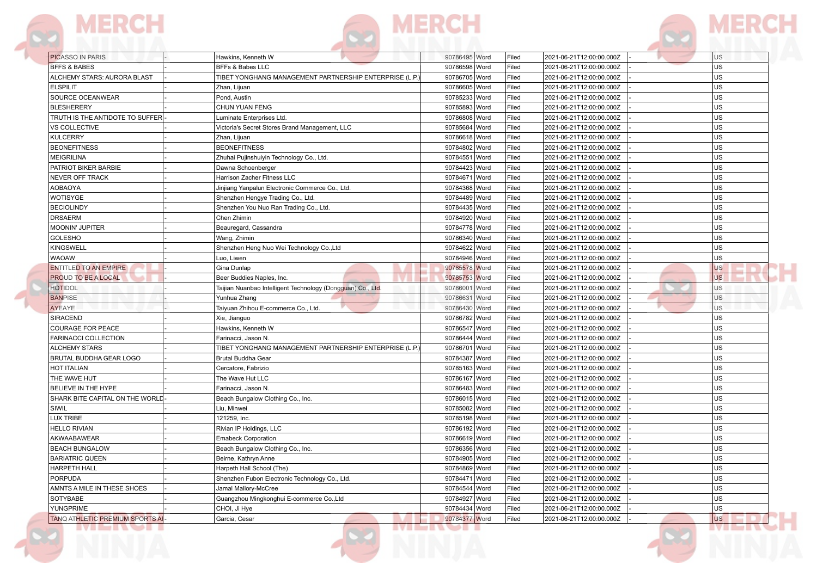|  | . |  |
|--|---|--|

|  | <b>ALIAN ST</b> |  |  |
|--|-----------------|--|--|

**R3** 

| <b>PICASSO IN PARIS</b>               | Hawkins, Kenneth W                                         | 90786495 Word | Filed | 2021-06-21T12:00:00.000Z | <b>US</b> |
|---------------------------------------|------------------------------------------------------------|---------------|-------|--------------------------|-----------|
| <b>BFFS &amp; BABES</b>               | BFFs & Babes LLC                                           | 90786598 Word | Filed | 2021-06-21T12:00:00.000Z | US        |
| ALCHEMY STARS: AURORA BLAST           | TIBET YONGHANG MANAGEMENT PARTNERSHIP ENTERPRISE (L.P.     | 90786705 Word | Filed | 2021-06-21T12:00:00.000Z | US        |
| <b>ELSPILIT</b>                       | Zhan, Lijuan                                               | 90786605 Word | Filed | 2021-06-21T12:00:00.000Z | <b>US</b> |
| SOURCE OCEANWEAR                      | Pond, Austin                                               | 90785233 Word | Filed | 2021-06-21T12:00:00.000Z | US        |
| <b>BLESHERERY</b>                     | CHUN YUAN FENG                                             | 90785893 Word | Filed | 2021-06-21T12:00:00.000Z | US        |
| TRUTH IS THE ANTIDOTE TO SUFFER       | Luminate Enterprises Ltd.                                  | 90786808 Word | Filed | 2021-06-21T12:00:00.000Z | US        |
| <b>VS COLLECTIVE</b>                  | Victoria's Secret Stores Brand Management, LLC             | 90785684 Word | Filed | 2021-06-21T12:00:00.000Z | US        |
| <b>KULCERRY</b>                       | Zhan, Lijuan                                               | 90786618 Word | Filed | 2021-06-21T12:00:00.000Z | US        |
| <b>BEONEFITNESS</b>                   | <b>BEONEFITNESS</b>                                        | 90784802 Word | Filed | 2021-06-21T12:00:00.000Z | US        |
| <b>MEIGRILINA</b>                     | Zhuhai Pujinshuiyin Technology Co., Ltd.                   | 90784551 Word | Filed | 2021-06-21T12:00:00.000Z | <b>US</b> |
| PATRIOT BIKER BARBIE                  | Dawna Schoenberger                                         | 90784423 Word | Filed | 2021-06-21T12:00:00.000Z | lus       |
| <b>NEVER OFF TRACK</b>                | Harrison Zacher Fitness LLC                                | 90784671 Word | Filed | 2021-06-21T12:00:00.000Z | <b>US</b> |
| <b>AOBAOYA</b>                        | Jinjiang Yanpalun Electronic Commerce Co., Ltd.            | 90784368 Word | Filed | 2021-06-21T12:00:00.000Z | US        |
| <b>WOTISYGE</b>                       | Shenzhen Hengye Trading Co., Ltd.                          | 90784489 Word | Filed | 2021-06-21T12:00:00.000Z | US        |
| <b>BECIOLINDY</b>                     | Shenzhen You Nuo Ran Trading Co., Ltd.                     | 90784435 Word | Filed | 2021-06-21T12:00:00.000Z | US        |
| <b>DRSAERM</b>                        | Chen Zhimin                                                | 90784920 Word | Filed | 2021-06-21T12:00:00.000Z | US        |
| <b>MOONIN' JUPITER</b>                | Beauregard, Cassandra                                      | 90784778 Word | Filed | 2021-06-21T12:00:00.000Z | <b>US</b> |
| <b>GOLESHO</b>                        | Wang, Zhimin                                               | 90786340 Word | Filed | 2021-06-21T12:00:00.000Z | US        |
| <b>KINGSWELL</b>                      | Shenzhen Heng Nuo Wei Technology Co., Ltd                  | 90784622 Word | Filed | 2021-06-21T12:00:00.000Z | US        |
| <b>WAOAW</b>                          | Luo, Liwen                                                 | 90784946 Word | Filed | 2021-06-21T12:00:00.000Z | <b>US</b> |
| <b>ENTITLED TO AN EMPIRE</b>          | Gina Dunlap                                                | 90785578 Word | Filed | 2021-06-21T12:00:00.000Z | <b>US</b> |
| <b>PROUD TO BE A LOCAL</b>            | Beer Buddies Naples, Inc.                                  | 90785753 Word | Filed | 2021-06-21T12:00:00.000Z | <b>US</b> |
| <b>HOTIDOL</b>                        | Taijian Nuanbao Intelligent Technology (Dongguan) Co., Ltd | 90786001 Word | Filed | 2021-06-21T12:00:00.000Z | US        |
| <b>BANPISE</b>                        | Yunhua Zhang                                               | 90786631 Word | Filed | 2021-06-21T12:00:00.000Z | <b>US</b> |
| <b>AYEAYE</b>                         | Taiyuan Zhihou E-commerce Co., Ltd.                        | 90786430 Word | Filed | 2021-06-21T12:00:00.000Z | <b>US</b> |
| SIRACEND                              | Xie, Jianguo                                               | 90786782 Word | Filed | 2021-06-21T12:00:00.000Z | US        |
| COURAGE FOR PEACE                     | Hawkins, Kenneth W                                         | 90786547 Word | Filed | 2021-06-21T12:00:00.000Z | lus       |
| FARINACCI COLLECTION                  | Farinacci, Jason N.                                        | 90786444 Word | Filed | 2021-06-21T12:00:00.000Z | US        |
| <b>ALCHEMY STARS</b>                  | TIBET YONGHANG MANAGEMENT PARTNERSHIP ENTERPRISE (L.P.     | 90786701 Word | Filed | 2021-06-21T12:00:00.000Z | US        |
| BRUTAL BUDDHA GEAR LOGO               | Brutal Buddha Gear                                         | 90784387 Word | Filed | 2021-06-21T12:00:00.000Z | US        |
| HOT ITALIAN                           | Cercatore, Fabrizio                                        | 90785163 Word | Filed | 2021-06-21T12:00:00.000Z | US        |
| THE WAVE HUT                          | The Wave Hut LLC                                           | 90786167 Word | Filed | 2021-06-21T12:00:00.000Z | US        |
| <b>BELIEVE IN THE HYPE</b>            | Farinacci, Jason N.                                        | 90786483 Word | Filed | 2021-06-21T12:00:00.000Z | <b>US</b> |
| SHARK BITE CAPITAL ON THE WORLD       | Beach Bungalow Clothing Co., Inc.                          | 90786015 Word | Filed | 2021-06-21T12:00:00.000Z | US        |
| SIWIL                                 | Liu, Minwei                                                | 90785082 Word | Filed | 2021-06-21T12:00:00.000Z | <b>US</b> |
| <b>LUX TRIBE</b>                      | 121259, Inc.                                               | 90785198 Word | Filed | 2021-06-21T12:00:00.000Z | US        |
| <b>HELLO RIVIAN</b>                   | Rivian IP Holdings, LLC                                    | 90786192 Word | Filed | 2021-06-21T12:00:00.000Z | US        |
| AKWAABAWEAR                           | <b>Emabeck Corporation</b>                                 | 90786619 Word | Filed | 2021-06-21T12:00:00.000Z | US        |
| <b>BEACH BUNGALOW</b>                 | Beach Bungalow Clothing Co., Inc.                          | 90786356 Word | Filed | 2021-06-21T12:00:00.000Z | US        |
| <b>BARIATRIC QUEEN</b>                | Beirne, Kathryn Anne                                       | 90784905 Word | Filed | 2021-06-21T12:00:00.000Z | US        |
| <b>HARPETH HALL</b>                   | Harpeth Hall School (The)                                  | 90784869 Word | Filed | 2021-06-21T12:00:00.000Z | US        |
| <b>PORPUDA</b>                        | Shenzhen Fubon Electronic Technology Co., Ltd.             | 90784471 Word | Filed | 2021-06-21T12:00:00.000Z | US        |
| AMNTS A MILE IN THESE SHOES           | Jamal Mallory-McCree                                       | 90784544 Word | Filed | 2021-06-21T12:00:00.000Z | US        |
| SOTYBABE                              | Guangzhou Mingkonghui E-commerce Co., Ltd                  | 90784927 Word | Filed | 2021-06-21T12:00:00.000Z | US        |
| YUNGPRIME                             | CHOI, Ji Hye                                               | 90784434 Word | Filed | 2021-06-21T12:00:00.000Z | <b>US</b> |
| <b>TANQ ATHLETIC PREMIUM SPORTS A</b> |                                                            |               |       |                          | <b>US</b> |

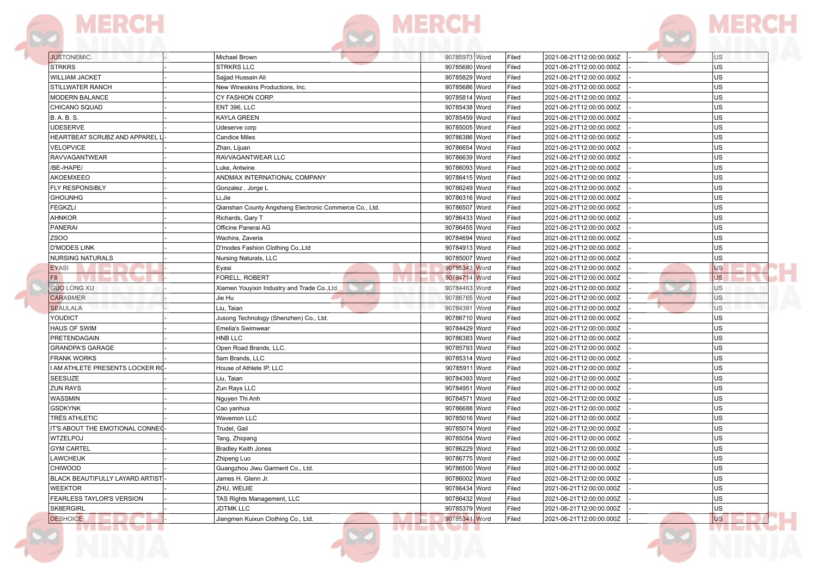F





| <b>JUSTONEMIC.</b>              | Michael Brown                                          | 90785973 Word    | Filed | 2021-06-21T12:00:00.000Z | US.       |
|---------------------------------|--------------------------------------------------------|------------------|-------|--------------------------|-----------|
| <b>STRKRS</b>                   | <b>STRKRS LLC</b>                                      | 90785680 Word    | Filed | 2021-06-21T12:00:00.000Z | <b>US</b> |
| <b>WILLIAM JACKET</b>           | Sajjad Hussain Ali                                     | 90785829 Word    | Filed | 2021-06-21T12:00:00.000Z | US        |
| <b>STILLWATER RANCH</b>         | New Wineskins Productions, Inc.                        | 90785686 Word    | Filed | 2021-06-21T12:00:00.000Z | <b>US</b> |
| <b>MODERN BALANCE</b>           | CY FASHION CORP.                                       | 90785814 Word    | Filed | 2021-06-21T12:00:00.000Z | <b>US</b> |
| CHICANO SQUAD                   | <b>ENT 396, LLC</b>                                    | 90785438 Word    | Filed | 2021-06-21T12:00:00.000Z | <b>US</b> |
| <b>B.A.B.S.</b>                 | KAYLA GREEN                                            | 90785459 Word    | Filed | 2021-06-21T12:00:00.000Z | <b>US</b> |
| <b>UDESERVE</b>                 | Udeserve corp                                          | 90785005 Word    | Filed | 2021-06-21T12:00:00.000Z | <b>US</b> |
| HEARTBEAT SCRUBZ AND APPAREL I  | <b>Candice Miles</b>                                   | 90786386 Word    | Filed | 2021-06-21T12:00:00.000Z | <b>US</b> |
| <b>VELOPVICE</b>                | Zhan, Lijuan                                           | 90786654 Word    | Filed | 2021-06-21T12:00:00.000Z | <b>US</b> |
| <b>RAVVAGANTWEAR</b>            | RAVVAGANTWEAR LLC                                      | 90786639 Word    | Filed | 2021-06-21T12:00:00.000Z | <b>US</b> |
| /BE-/HAPE/                      | Luke, Antwine                                          | 90786093 Word    | Filed | 2021-06-21T12:00:00.000Z | <b>US</b> |
| AKOEMXEEO                       | ANDMAX INTERNATIONAL COMPANY                           | 90786415 Word    | Filed | 2021-06-21T12:00:00.000Z | <b>US</b> |
| FLY RESPONSIBLY                 | Gonzalez, Jorge L                                      | 90786249 Word    | Filed | 2021-06-21T12:00:00.000Z | <b>US</b> |
| <b>GHOIJNHG</b>                 | Li,Jie                                                 | 90786316 Word    | Filed | 2021-06-21T12:00:00.000Z | <b>US</b> |
| <b>FEGKZLI</b>                  | Qianshan County Angsheng Electronic Commerce Co., Ltd. | 90786507 Word    | Filed | 2021-06-21T12:00:00.000Z | <b>US</b> |
| AHNKOR                          | Richards, Gary T                                       | 90786433 Word    | Filed | 2021-06-21T12:00:00.000Z | <b>US</b> |
| <b>PANERAI</b>                  | Officine Panerai AG                                    | 90786455 Word    | Filed | 2021-06-21T12:00:00.000Z | US        |
| <b>ZSOO</b>                     | Wachira, Zaveria                                       | 90784694 Word    | Filed | 2021-06-21T12:00:00.000Z | US        |
| <b>D'MODES LINK</b>             | D'modes Fashion Clothing Co., Ltd                      | 90784913 Word    | Filed | 2021-06-21T12:00:00.000Z | <b>US</b> |
| <b>NURSING NATURALS</b>         | Nursing Naturals, LLC                                  | 90785007 Word    | Filed | 2021-06-21T12:00:00.000Z | <b>US</b> |
| <b>EYASI</b>                    | Eyasi                                                  | 90785343 Word    | Filed | 2021-06-21T12:00:00.000Z | <b>US</b> |
| F <sub>8</sub>                  | FORELL, ROBERT                                         | 90784714 Word    | Filed | 2021-06-21T12:00:00.000Z | <b>US</b> |
| <b>GUO LONG XU</b>              | Xiamen Youyixin Industry and Trade Co., Ltd.           | 90784463 Word    | Filed | 2021-06-21T12:00:00.000Z | US        |
| <b>CARABMER</b>                 | Jie Hu                                                 | 90786765 Word    | Filed | 2021-06-21T12:00:00.000Z | <b>US</b> |
| <b>SEAULALA</b>                 | Liu. Taian                                             | 90784391<br>Word | Filed | 2021-06-21T12:00:00.000Z | <b>US</b> |
| YOUDICT                         | Jusong Technology (Shenzhen) Co., Ltd.                 | 90786710 Word    | Filed | 2021-06-21T12:00:00.000Z | <b>US</b> |
| <b>HAUS OF SWIM</b>             | <b>Emelia's Swimwear</b>                               | 90784429<br>Word | Filed | 2021-06-21T12:00:00.000Z | <b>US</b> |
| PRETENDAGAIN                    | HNB LLC                                                | 90786383 Word    | Filed | 2021-06-21T12:00:00.000Z | <b>US</b> |
| <b>GRANDPA'S GARAGE</b>         | Open Road Brands, LLC.                                 | 90785793<br>Word | Filed | 2021-06-21T12:00:00.000Z | <b>US</b> |
| <b>FRANK WORKS</b>              | 5am Brands, LLC                                        | 90785314 Word    | Filed | 2021-06-21T12:00:00.000Z | <b>US</b> |
| I AM ATHLETE PRESENTS LOCKER RO | House of Athlete IP, LLC                               | 90785911<br>Word | Filed | 2021-06-21T12:00:00.000Z | US        |
| <b>SEESUZE</b>                  | Liu, Taian                                             | 90784393 Word    | Filed | 2021-06-21T12:00:00.000Z | <b>US</b> |
| <b>ZUN RAYS</b>                 | Zun Rays LLC                                           | 90784951<br>Word | Filed | 2021-06-21T12:00:00.000Z | <b>US</b> |
| <b>WASSMIN</b>                  | Nguyen Thi Anh                                         | 90784571<br>Word | Filed | 2021-06-21T12:00:00.000Z | <b>US</b> |
| <b>GSDKYNK</b>                  | Cao yanhua                                             | 90786688<br>Word | Filed | 2021-06-21T12:00:00.000Z | <b>US</b> |
| TRÉS ATHLETIC                   | Wavemon LLC                                            | 90785016 Word    | Filed | 2021-06-21T12:00:00.000Z | <b>US</b> |
| IT'S ABOUT THE EMOTIONAL CONNEC | Trudel, Gail                                           | 90785074 Word    | Filed | 2021-06-21T12:00:00.000Z | <b>US</b> |
| WTZELPOJ                        | Tang, Zhiqiang                                         | 90785054 Word    | Filed | 2021-06-21T12:00:00.000Z | <b>US</b> |
| <b>GYM CARTEL</b>               | <b>Bradley Keith Jones</b>                             | 90786229 Word    | Filed | 2021-06-21T12:00:00.000Z | <b>US</b> |
| <b>LAWCHEUK</b>                 | Zhipeng Luo                                            | 90786775 Word    | Filed | 2021-06-21T12:00:00.000Z | <b>US</b> |
| <b>CHIWOOD</b>                  | Guangzhou Jiwu Garment Co., Ltd.                       | 90786500 Word    | Filed | 2021-06-21T12:00:00.000Z | <b>US</b> |
| BLACK BEAUTIFULLY LAYARD ARTIST | James H. Glenn Jr.                                     | 90786002 Word    | Filed | 2021-06-21T12:00:00.000Z | <b>US</b> |
| <b>WEEKTOR</b>                  | ZHU, WEIJIE                                            | 90786434 Word    | Filed | 2021-06-21T12:00:00.000Z | <b>US</b> |
| FEARLESS TAYLOR'S VERSION       | TAS Rights Management, LLC                             | 90786432 Word    | Filed | 2021-06-21T12:00:00.000Z | <b>US</b> |
| SK8ERGIRL                       | <b>JDTMK LLC</b>                                       | 90785379 Word    | Filed | 2021-06-21T12:00:00.000Z | <b>US</b> |
|                                 | Jiangmen Kuixun Clothing Co., Ltd.                     | 90785341 Word    | Filed | 2021-06-21T12:00:00.000Z | <b>US</b> |
| <b>DESHOICE</b>                 |                                                        |                  |       |                          |           |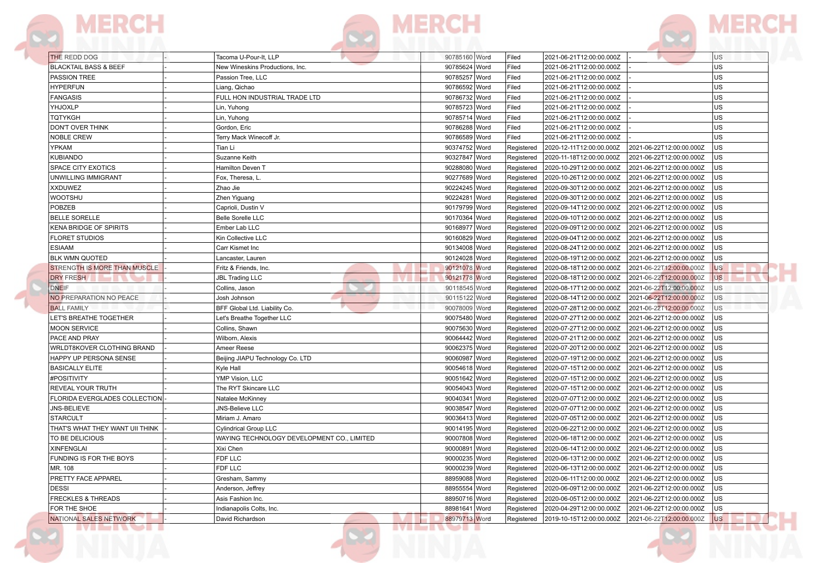|  | the property of the property of |  |
|--|---------------------------------|--|
|  |                                 |  |

|  | <u>a serial de la p</u> |  |
|--|-------------------------|--|

| 90785624 Word<br>90785257 Word<br>PASSION TREE<br>Filed<br>Passion Tree, LLC<br>2021-06-21T12:00:00.000Z<br>90786592 Word<br>2021-06-21T12:00:00.000Z<br>Liang, Qichao<br>Filed<br>FULL HON INDUSTRIAL TRADE LTD<br>90786732 Word<br>Filed<br>2021-06-21T12:00:00.000Z<br>90785723 Word<br>Filed<br>Lin, Yuhong<br>2021-06-21T12:00:00.000Z<br>90785714 Word<br>Filed<br>2021-06-21T12:00:00.000Z<br>Lin, Yuhong<br>Gordon, Eric<br>90786288 Word<br>Filed<br>2021-06-21T12:00:00.000Z<br>90786589 Word<br>Filed<br>Terry Mack Winecoff Jr.<br>2021-06-21T12:00:00.000Z<br>90374752 Word<br>Tian Li<br>Registered<br>2020-12-11T12:00:00.000Z<br>90327847 Word<br>Suzanne Keith<br>2020-11-18T12:00:00.000Z<br>Registered<br>90288080 Word<br>2020-10-29T12:00:00.000Z<br>Hamilton Deven T<br>Registered<br>90277689 Word<br>Registered<br>Fox, Theresa, L.<br>Zhao Jie<br>90224245 Word<br>2020-09-30T12:00:00.000Z<br>Registered<br>90224281 Word<br>2020-09-30T12:00:00.000Z<br>Zhen Yiguang<br>Registered<br>90179799 Word<br>2020-09-14T12:00:00.000Z<br>Caprioli, Dustin V<br>Registered<br>90170364 Word<br><b>Belle Sorelle LLC</b><br>Registered<br>2020-09-10T12:00:00.000Z<br>Ember Lab LLC<br>90168977 Word<br>Registered<br>90160829 Word<br>Kin Collective LLC<br>Registered<br>90134008 Word<br>Registered<br>Carr Kismet Inc<br>90124028 Word<br>Registered<br>Lancaster, Lauren<br>90121078 Word<br>Fritz & Friends, Inc.<br>Registered<br>90121778 Word<br><b>JBL Trading LLC</b><br>Registered<br>90118545 Word<br>Registered<br>Collins, Jason<br>Josh Johnson<br>90115122 Word<br>2020-08-14T12:00:00.000Z<br>Registered<br>BFF Global Ltd. Liability Co.<br>90078009 Word<br>2020-07-28T12:00:00.000Z<br>Registered<br>90075480 Word<br>Let's Breathe Together LLC<br>Registered<br>90075630 Word<br>Collins, Shawn<br>Registered<br>2020-07-27T12:00:00.000Z<br>90064442 Word<br>Wilborn, Alexis<br>Registered<br>2020-07-21T12:00:00.000Z<br>90062375 Word<br>Ameer Reese<br>2020-07-20T12:00:00.000Z<br>Registered<br>90060987 Word<br>Beijing JIAPU Technology Co. LTD<br>Registered<br>2020-07-19T12:00:00.000Z<br>Kyle Hall<br>90054618 Word<br>2020-07-15T12:00:00.000Z<br>Registered<br>YMP Vision, LLC<br>90051642 Word<br>2020-07-15T12:00:00.000Z<br>Registered<br>The RYT Skincare LLC<br>90054043 Word<br>Registered<br>2020-07-15T12:00:00.000Z<br>90040341 Word<br>Natalee McKinney<br>Registered<br>2020-07-07T12:00:00.000Z<br>90038547 Word<br>JNS-Believe LLC<br>2020-07-07T12:00:00.000Z<br>Registered<br>90036413 Word<br>2020-07-05T12:00:00.000Z<br>Miriam J. Amaro<br>Registered<br>90014195 Word<br><b>Cylindrical Group LLC</b><br>Registered<br>2020-06-22T12:00:00.000Z<br>WAYING TECHNOLOGY DEVELOPMENT CO., LIMITED<br>90007808 Word<br>2020-06-18T12:00:00.000Z<br>Registered<br>90000891 Word<br>Xixi Chen<br>2020-06-14T12:00:00.000Z<br>Registered<br>FDF LLC<br>90000235 Word<br>2020-06-13T12:00:00.000Z<br>Registered<br>FDF LLC<br>90000239 Word<br>2020-06-13T12:00:00.000Z<br>Registered<br>88959088 Word<br>2020-06-11T12:00:00.000Z<br>Gresham, Sammy<br>Registered<br>Anderson, Jeffrey<br>88955554 Word<br>Registered   2020-06-09T12:00:00.000Z   2021-06-22T12:00:00.000Z<br>88950716 Word<br>2020-06-05T12:00:00.000Z<br>Asis Fashion Inc.<br>Registered<br>88981641 Word<br>Registered 2020-04-29T12:00:00.000Z<br>Indianapolis Colts, Inc. | THE REDD DOG<br><b>BLACKTAIL BASS &amp; BEEF</b> | Tacoma U-Pour-It, LLP           | 90785160 Word | Filed<br>Filed | 2021-06-21T12:00:00.000Z<br>2021-06-21T12:00:00.000Z |                          | US<br>US       |
|-------------------------------------------------------------------------------------------------------------------------------------------------------------------------------------------------------------------------------------------------------------------------------------------------------------------------------------------------------------------------------------------------------------------------------------------------------------------------------------------------------------------------------------------------------------------------------------------------------------------------------------------------------------------------------------------------------------------------------------------------------------------------------------------------------------------------------------------------------------------------------------------------------------------------------------------------------------------------------------------------------------------------------------------------------------------------------------------------------------------------------------------------------------------------------------------------------------------------------------------------------------------------------------------------------------------------------------------------------------------------------------------------------------------------------------------------------------------------------------------------------------------------------------------------------------------------------------------------------------------------------------------------------------------------------------------------------------------------------------------------------------------------------------------------------------------------------------------------------------------------------------------------------------------------------------------------------------------------------------------------------------------------------------------------------------------------------------------------------------------------------------------------------------------------------------------------------------------------------------------------------------------------------------------------------------------------------------------------------------------------------------------------------------------------------------------------------------------------------------------------------------------------------------------------------------------------------------------------------------------------------------------------------------------------------------------------------------------------------------------------------------------------------------------------------------------------------------------------------------------------------------------------------------------------------------------------------------------------------------------------------------------------------------------------------------------------------------------------------------------------------------------------------------------------------------------------------------------------------------------------------------------------------------------------------------------------------------------------------------------------------------------------------------------|--------------------------------------------------|---------------------------------|---------------|----------------|------------------------------------------------------|--------------------------|----------------|
| <b>HYPERFUN</b><br><b>FANGASIS</b><br>YHJOXLP<br>TQTYKGH<br>DON'T OVER THINK<br><b>NOBLE CREW</b><br>YPKAM<br><b>KUBIANDO</b><br>SPACE CITY EXOTICS<br>UNWILLING IMMIGRANT<br><b>XXDUWEZ</b><br><b>WOOTSHU</b><br>POBZEB<br><b>BELLE SORELLE</b><br>KENA BRIDGE OF SPIRITS<br><b>FLORET STUDIOS</b><br><b>ESIAAM</b><br><b>BLK WMN QUOTED</b><br>STRENGTH IS MORE THAN MUSCLE<br><b>DRY FRESH</b><br><b>DNEIF</b><br>NO PREPARATION NO PEACE<br><b>BALL FAMILY</b><br>LET'S BREATHE TOGETHER<br><b>MOON SERVICE</b><br>PACE AND PRAY<br>WRLDT8KOVER CLOTHING BRAND<br>HAPPY UP PERSONA SENSE<br><b>BASICALLY ELITE</b><br>#POSITIVITY<br>REVEAL YOUR TRUTH<br>FLORIDA EVERGLADES COLLECTION<br>JNS-BELIEVE<br><b>STARCULT</b><br>THAT'S WHAT THEY WANT UII THINK<br>TO BE DELICIOUS<br><b>XINFENGLAI</b><br>FUNDING IS FOR THE BOYS<br>MR. 108<br>PRETTY FACE APPAREL<br>DESSI<br><b>FRECKLES &amp; THREADS</b><br>FOR THE SHOE                                                                                                                                                                                                                                                                                                                                                                                                                                                                                                                                                                                                                                                                                                                                                                                                                                                                                                                                                                                                                                                                                                                                                                                                                                                                                                                                                                                                                                                                                                                                                                                                                                                                                                                                                                                                                                                                                                                                                                                                                                                                                                                                                                                                                                                                                                                                                                                                                                                                                   |                                                  | New Wineskins Productions, Inc. |               |                |                                                      |                          | US             |
|                                                                                                                                                                                                                                                                                                                                                                                                                                                                                                                                                                                                                                                                                                                                                                                                                                                                                                                                                                                                                                                                                                                                                                                                                                                                                                                                                                                                                                                                                                                                                                                                                                                                                                                                                                                                                                                                                                                                                                                                                                                                                                                                                                                                                                                                                                                                                                                                                                                                                                                                                                                                                                                                                                                                                                                                                                                                                                                                                                                                                                                                                                                                                                                                                                                                                                                                                                                                                   |                                                  |                                 |               |                |                                                      |                          |                |
|                                                                                                                                                                                                                                                                                                                                                                                                                                                                                                                                                                                                                                                                                                                                                                                                                                                                                                                                                                                                                                                                                                                                                                                                                                                                                                                                                                                                                                                                                                                                                                                                                                                                                                                                                                                                                                                                                                                                                                                                                                                                                                                                                                                                                                                                                                                                                                                                                                                                                                                                                                                                                                                                                                                                                                                                                                                                                                                                                                                                                                                                                                                                                                                                                                                                                                                                                                                                                   |                                                  |                                 |               |                |                                                      |                          | US             |
|                                                                                                                                                                                                                                                                                                                                                                                                                                                                                                                                                                                                                                                                                                                                                                                                                                                                                                                                                                                                                                                                                                                                                                                                                                                                                                                                                                                                                                                                                                                                                                                                                                                                                                                                                                                                                                                                                                                                                                                                                                                                                                                                                                                                                                                                                                                                                                                                                                                                                                                                                                                                                                                                                                                                                                                                                                                                                                                                                                                                                                                                                                                                                                                                                                                                                                                                                                                                                   |                                                  |                                 |               |                |                                                      |                          | US             |
|                                                                                                                                                                                                                                                                                                                                                                                                                                                                                                                                                                                                                                                                                                                                                                                                                                                                                                                                                                                                                                                                                                                                                                                                                                                                                                                                                                                                                                                                                                                                                                                                                                                                                                                                                                                                                                                                                                                                                                                                                                                                                                                                                                                                                                                                                                                                                                                                                                                                                                                                                                                                                                                                                                                                                                                                                                                                                                                                                                                                                                                                                                                                                                                                                                                                                                                                                                                                                   |                                                  |                                 |               |                |                                                      |                          | US             |
|                                                                                                                                                                                                                                                                                                                                                                                                                                                                                                                                                                                                                                                                                                                                                                                                                                                                                                                                                                                                                                                                                                                                                                                                                                                                                                                                                                                                                                                                                                                                                                                                                                                                                                                                                                                                                                                                                                                                                                                                                                                                                                                                                                                                                                                                                                                                                                                                                                                                                                                                                                                                                                                                                                                                                                                                                                                                                                                                                                                                                                                                                                                                                                                                                                                                                                                                                                                                                   |                                                  |                                 |               |                |                                                      |                          | US             |
|                                                                                                                                                                                                                                                                                                                                                                                                                                                                                                                                                                                                                                                                                                                                                                                                                                                                                                                                                                                                                                                                                                                                                                                                                                                                                                                                                                                                                                                                                                                                                                                                                                                                                                                                                                                                                                                                                                                                                                                                                                                                                                                                                                                                                                                                                                                                                                                                                                                                                                                                                                                                                                                                                                                                                                                                                                                                                                                                                                                                                                                                                                                                                                                                                                                                                                                                                                                                                   |                                                  |                                 |               |                |                                                      |                          | US             |
|                                                                                                                                                                                                                                                                                                                                                                                                                                                                                                                                                                                                                                                                                                                                                                                                                                                                                                                                                                                                                                                                                                                                                                                                                                                                                                                                                                                                                                                                                                                                                                                                                                                                                                                                                                                                                                                                                                                                                                                                                                                                                                                                                                                                                                                                                                                                                                                                                                                                                                                                                                                                                                                                                                                                                                                                                                                                                                                                                                                                                                                                                                                                                                                                                                                                                                                                                                                                                   |                                                  |                                 |               |                |                                                      |                          | US             |
|                                                                                                                                                                                                                                                                                                                                                                                                                                                                                                                                                                                                                                                                                                                                                                                                                                                                                                                                                                                                                                                                                                                                                                                                                                                                                                                                                                                                                                                                                                                                                                                                                                                                                                                                                                                                                                                                                                                                                                                                                                                                                                                                                                                                                                                                                                                                                                                                                                                                                                                                                                                                                                                                                                                                                                                                                                                                                                                                                                                                                                                                                                                                                                                                                                                                                                                                                                                                                   |                                                  |                                 |               |                |                                                      | 2021-06-22T12:00:00.000Z | US             |
|                                                                                                                                                                                                                                                                                                                                                                                                                                                                                                                                                                                                                                                                                                                                                                                                                                                                                                                                                                                                                                                                                                                                                                                                                                                                                                                                                                                                                                                                                                                                                                                                                                                                                                                                                                                                                                                                                                                                                                                                                                                                                                                                                                                                                                                                                                                                                                                                                                                                                                                                                                                                                                                                                                                                                                                                                                                                                                                                                                                                                                                                                                                                                                                                                                                                                                                                                                                                                   |                                                  |                                 |               |                |                                                      | 2021-06-22T12:00:00.000Z | <b>US</b>      |
|                                                                                                                                                                                                                                                                                                                                                                                                                                                                                                                                                                                                                                                                                                                                                                                                                                                                                                                                                                                                                                                                                                                                                                                                                                                                                                                                                                                                                                                                                                                                                                                                                                                                                                                                                                                                                                                                                                                                                                                                                                                                                                                                                                                                                                                                                                                                                                                                                                                                                                                                                                                                                                                                                                                                                                                                                                                                                                                                                                                                                                                                                                                                                                                                                                                                                                                                                                                                                   |                                                  |                                 |               |                |                                                      | 2021-06-22T12:00:00.000Z | lus.           |
|                                                                                                                                                                                                                                                                                                                                                                                                                                                                                                                                                                                                                                                                                                                                                                                                                                                                                                                                                                                                                                                                                                                                                                                                                                                                                                                                                                                                                                                                                                                                                                                                                                                                                                                                                                                                                                                                                                                                                                                                                                                                                                                                                                                                                                                                                                                                                                                                                                                                                                                                                                                                                                                                                                                                                                                                                                                                                                                                                                                                                                                                                                                                                                                                                                                                                                                                                                                                                   |                                                  |                                 |               |                | 2020-10-26T12:00:00.000Z                             | 2021-06-22T12:00:00.000Z | <b>US</b>      |
|                                                                                                                                                                                                                                                                                                                                                                                                                                                                                                                                                                                                                                                                                                                                                                                                                                                                                                                                                                                                                                                                                                                                                                                                                                                                                                                                                                                                                                                                                                                                                                                                                                                                                                                                                                                                                                                                                                                                                                                                                                                                                                                                                                                                                                                                                                                                                                                                                                                                                                                                                                                                                                                                                                                                                                                                                                                                                                                                                                                                                                                                                                                                                                                                                                                                                                                                                                                                                   |                                                  |                                 |               |                |                                                      | 2021-06-22T12:00:00.000Z | US.            |
|                                                                                                                                                                                                                                                                                                                                                                                                                                                                                                                                                                                                                                                                                                                                                                                                                                                                                                                                                                                                                                                                                                                                                                                                                                                                                                                                                                                                                                                                                                                                                                                                                                                                                                                                                                                                                                                                                                                                                                                                                                                                                                                                                                                                                                                                                                                                                                                                                                                                                                                                                                                                                                                                                                                                                                                                                                                                                                                                                                                                                                                                                                                                                                                                                                                                                                                                                                                                                   |                                                  |                                 |               |                |                                                      | 2021-06-22T12:00:00.000Z | US             |
|                                                                                                                                                                                                                                                                                                                                                                                                                                                                                                                                                                                                                                                                                                                                                                                                                                                                                                                                                                                                                                                                                                                                                                                                                                                                                                                                                                                                                                                                                                                                                                                                                                                                                                                                                                                                                                                                                                                                                                                                                                                                                                                                                                                                                                                                                                                                                                                                                                                                                                                                                                                                                                                                                                                                                                                                                                                                                                                                                                                                                                                                                                                                                                                                                                                                                                                                                                                                                   |                                                  |                                 |               |                |                                                      | 2021-06-22T12:00:00.000Z | lus.           |
|                                                                                                                                                                                                                                                                                                                                                                                                                                                                                                                                                                                                                                                                                                                                                                                                                                                                                                                                                                                                                                                                                                                                                                                                                                                                                                                                                                                                                                                                                                                                                                                                                                                                                                                                                                                                                                                                                                                                                                                                                                                                                                                                                                                                                                                                                                                                                                                                                                                                                                                                                                                                                                                                                                                                                                                                                                                                                                                                                                                                                                                                                                                                                                                                                                                                                                                                                                                                                   |                                                  |                                 |               |                |                                                      | 2021-06-22T12:00:00.000Z | lus.           |
|                                                                                                                                                                                                                                                                                                                                                                                                                                                                                                                                                                                                                                                                                                                                                                                                                                                                                                                                                                                                                                                                                                                                                                                                                                                                                                                                                                                                                                                                                                                                                                                                                                                                                                                                                                                                                                                                                                                                                                                                                                                                                                                                                                                                                                                                                                                                                                                                                                                                                                                                                                                                                                                                                                                                                                                                                                                                                                                                                                                                                                                                                                                                                                                                                                                                                                                                                                                                                   |                                                  |                                 |               |                | 2020-09-09T12:00:00.000Z                             | 2021-06-22T12:00:00.000Z | US.            |
|                                                                                                                                                                                                                                                                                                                                                                                                                                                                                                                                                                                                                                                                                                                                                                                                                                                                                                                                                                                                                                                                                                                                                                                                                                                                                                                                                                                                                                                                                                                                                                                                                                                                                                                                                                                                                                                                                                                                                                                                                                                                                                                                                                                                                                                                                                                                                                                                                                                                                                                                                                                                                                                                                                                                                                                                                                                                                                                                                                                                                                                                                                                                                                                                                                                                                                                                                                                                                   |                                                  |                                 |               |                | 2020-09-04T12:00:00.000Z                             | 2021-06-22T12:00:00.000Z | US.            |
|                                                                                                                                                                                                                                                                                                                                                                                                                                                                                                                                                                                                                                                                                                                                                                                                                                                                                                                                                                                                                                                                                                                                                                                                                                                                                                                                                                                                                                                                                                                                                                                                                                                                                                                                                                                                                                                                                                                                                                                                                                                                                                                                                                                                                                                                                                                                                                                                                                                                                                                                                                                                                                                                                                                                                                                                                                                                                                                                                                                                                                                                                                                                                                                                                                                                                                                                                                                                                   |                                                  |                                 |               |                | 2020-08-24T12:00:00.000Z                             | 2021-06-22T12:00:00.000Z | US             |
|                                                                                                                                                                                                                                                                                                                                                                                                                                                                                                                                                                                                                                                                                                                                                                                                                                                                                                                                                                                                                                                                                                                                                                                                                                                                                                                                                                                                                                                                                                                                                                                                                                                                                                                                                                                                                                                                                                                                                                                                                                                                                                                                                                                                                                                                                                                                                                                                                                                                                                                                                                                                                                                                                                                                                                                                                                                                                                                                                                                                                                                                                                                                                                                                                                                                                                                                                                                                                   |                                                  |                                 |               |                | 2020-08-19T12:00:00.000Z                             | 2021-06-22T12:00:00.000Z | US             |
|                                                                                                                                                                                                                                                                                                                                                                                                                                                                                                                                                                                                                                                                                                                                                                                                                                                                                                                                                                                                                                                                                                                                                                                                                                                                                                                                                                                                                                                                                                                                                                                                                                                                                                                                                                                                                                                                                                                                                                                                                                                                                                                                                                                                                                                                                                                                                                                                                                                                                                                                                                                                                                                                                                                                                                                                                                                                                                                                                                                                                                                                                                                                                                                                                                                                                                                                                                                                                   |                                                  |                                 |               |                | 2020-08-18T12:00:00.000Z                             | 2021-06-22T12:00:00.000Z | <b>US</b>      |
|                                                                                                                                                                                                                                                                                                                                                                                                                                                                                                                                                                                                                                                                                                                                                                                                                                                                                                                                                                                                                                                                                                                                                                                                                                                                                                                                                                                                                                                                                                                                                                                                                                                                                                                                                                                                                                                                                                                                                                                                                                                                                                                                                                                                                                                                                                                                                                                                                                                                                                                                                                                                                                                                                                                                                                                                                                                                                                                                                                                                                                                                                                                                                                                                                                                                                                                                                                                                                   |                                                  |                                 |               |                | 2020-08-18T12:00:00.000Z                             | 2021-06-22T12:00:00.000Z | <b>US</b>      |
|                                                                                                                                                                                                                                                                                                                                                                                                                                                                                                                                                                                                                                                                                                                                                                                                                                                                                                                                                                                                                                                                                                                                                                                                                                                                                                                                                                                                                                                                                                                                                                                                                                                                                                                                                                                                                                                                                                                                                                                                                                                                                                                                                                                                                                                                                                                                                                                                                                                                                                                                                                                                                                                                                                                                                                                                                                                                                                                                                                                                                                                                                                                                                                                                                                                                                                                                                                                                                   |                                                  |                                 |               |                | 2020-08-17T12:00:00.000Z                             | 2021-06-22T12:00:00.000Z | U <sub>S</sub> |
|                                                                                                                                                                                                                                                                                                                                                                                                                                                                                                                                                                                                                                                                                                                                                                                                                                                                                                                                                                                                                                                                                                                                                                                                                                                                                                                                                                                                                                                                                                                                                                                                                                                                                                                                                                                                                                                                                                                                                                                                                                                                                                                                                                                                                                                                                                                                                                                                                                                                                                                                                                                                                                                                                                                                                                                                                                                                                                                                                                                                                                                                                                                                                                                                                                                                                                                                                                                                                   |                                                  |                                 |               |                |                                                      | 2021-06-22T12:00:00.000Z | U <sub>S</sub> |
|                                                                                                                                                                                                                                                                                                                                                                                                                                                                                                                                                                                                                                                                                                                                                                                                                                                                                                                                                                                                                                                                                                                                                                                                                                                                                                                                                                                                                                                                                                                                                                                                                                                                                                                                                                                                                                                                                                                                                                                                                                                                                                                                                                                                                                                                                                                                                                                                                                                                                                                                                                                                                                                                                                                                                                                                                                                                                                                                                                                                                                                                                                                                                                                                                                                                                                                                                                                                                   |                                                  |                                 |               |                |                                                      | 2021-06-22T12:00:00.000Z | <b>US</b>      |
|                                                                                                                                                                                                                                                                                                                                                                                                                                                                                                                                                                                                                                                                                                                                                                                                                                                                                                                                                                                                                                                                                                                                                                                                                                                                                                                                                                                                                                                                                                                                                                                                                                                                                                                                                                                                                                                                                                                                                                                                                                                                                                                                                                                                                                                                                                                                                                                                                                                                                                                                                                                                                                                                                                                                                                                                                                                                                                                                                                                                                                                                                                                                                                                                                                                                                                                                                                                                                   |                                                  |                                 |               |                | 2020-07-27T12:00:00.000Z                             | 2021-06-22T12:00:00.000Z | US.            |
|                                                                                                                                                                                                                                                                                                                                                                                                                                                                                                                                                                                                                                                                                                                                                                                                                                                                                                                                                                                                                                                                                                                                                                                                                                                                                                                                                                                                                                                                                                                                                                                                                                                                                                                                                                                                                                                                                                                                                                                                                                                                                                                                                                                                                                                                                                                                                                                                                                                                                                                                                                                                                                                                                                                                                                                                                                                                                                                                                                                                                                                                                                                                                                                                                                                                                                                                                                                                                   |                                                  |                                 |               |                |                                                      | 2021-06-22T12:00:00.000Z | <b>US</b>      |
|                                                                                                                                                                                                                                                                                                                                                                                                                                                                                                                                                                                                                                                                                                                                                                                                                                                                                                                                                                                                                                                                                                                                                                                                                                                                                                                                                                                                                                                                                                                                                                                                                                                                                                                                                                                                                                                                                                                                                                                                                                                                                                                                                                                                                                                                                                                                                                                                                                                                                                                                                                                                                                                                                                                                                                                                                                                                                                                                                                                                                                                                                                                                                                                                                                                                                                                                                                                                                   |                                                  |                                 |               |                |                                                      | 2021-06-22T12:00:00.000Z | US             |
|                                                                                                                                                                                                                                                                                                                                                                                                                                                                                                                                                                                                                                                                                                                                                                                                                                                                                                                                                                                                                                                                                                                                                                                                                                                                                                                                                                                                                                                                                                                                                                                                                                                                                                                                                                                                                                                                                                                                                                                                                                                                                                                                                                                                                                                                                                                                                                                                                                                                                                                                                                                                                                                                                                                                                                                                                                                                                                                                                                                                                                                                                                                                                                                                                                                                                                                                                                                                                   |                                                  |                                 |               |                |                                                      | 2021-06-22T12:00:00.000Z | lus            |
|                                                                                                                                                                                                                                                                                                                                                                                                                                                                                                                                                                                                                                                                                                                                                                                                                                                                                                                                                                                                                                                                                                                                                                                                                                                                                                                                                                                                                                                                                                                                                                                                                                                                                                                                                                                                                                                                                                                                                                                                                                                                                                                                                                                                                                                                                                                                                                                                                                                                                                                                                                                                                                                                                                                                                                                                                                                                                                                                                                                                                                                                                                                                                                                                                                                                                                                                                                                                                   |                                                  |                                 |               |                |                                                      | 2021-06-22T12:00:00.000Z | <b>US</b>      |
|                                                                                                                                                                                                                                                                                                                                                                                                                                                                                                                                                                                                                                                                                                                                                                                                                                                                                                                                                                                                                                                                                                                                                                                                                                                                                                                                                                                                                                                                                                                                                                                                                                                                                                                                                                                                                                                                                                                                                                                                                                                                                                                                                                                                                                                                                                                                                                                                                                                                                                                                                                                                                                                                                                                                                                                                                                                                                                                                                                                                                                                                                                                                                                                                                                                                                                                                                                                                                   |                                                  |                                 |               |                |                                                      | 2021-06-22T12:00:00.000Z | US.            |
|                                                                                                                                                                                                                                                                                                                                                                                                                                                                                                                                                                                                                                                                                                                                                                                                                                                                                                                                                                                                                                                                                                                                                                                                                                                                                                                                                                                                                                                                                                                                                                                                                                                                                                                                                                                                                                                                                                                                                                                                                                                                                                                                                                                                                                                                                                                                                                                                                                                                                                                                                                                                                                                                                                                                                                                                                                                                                                                                                                                                                                                                                                                                                                                                                                                                                                                                                                                                                   |                                                  |                                 |               |                |                                                      | 2021-06-22T12:00:00.000Z | <b>US</b>      |
|                                                                                                                                                                                                                                                                                                                                                                                                                                                                                                                                                                                                                                                                                                                                                                                                                                                                                                                                                                                                                                                                                                                                                                                                                                                                                                                                                                                                                                                                                                                                                                                                                                                                                                                                                                                                                                                                                                                                                                                                                                                                                                                                                                                                                                                                                                                                                                                                                                                                                                                                                                                                                                                                                                                                                                                                                                                                                                                                                                                                                                                                                                                                                                                                                                                                                                                                                                                                                   |                                                  |                                 |               |                |                                                      | 2021-06-22T12:00:00.000Z | US.            |
|                                                                                                                                                                                                                                                                                                                                                                                                                                                                                                                                                                                                                                                                                                                                                                                                                                                                                                                                                                                                                                                                                                                                                                                                                                                                                                                                                                                                                                                                                                                                                                                                                                                                                                                                                                                                                                                                                                                                                                                                                                                                                                                                                                                                                                                                                                                                                                                                                                                                                                                                                                                                                                                                                                                                                                                                                                                                                                                                                                                                                                                                                                                                                                                                                                                                                                                                                                                                                   |                                                  |                                 |               |                |                                                      | 2021-06-22T12:00:00.000Z | <b>US</b>      |
|                                                                                                                                                                                                                                                                                                                                                                                                                                                                                                                                                                                                                                                                                                                                                                                                                                                                                                                                                                                                                                                                                                                                                                                                                                                                                                                                                                                                                                                                                                                                                                                                                                                                                                                                                                                                                                                                                                                                                                                                                                                                                                                                                                                                                                                                                                                                                                                                                                                                                                                                                                                                                                                                                                                                                                                                                                                                                                                                                                                                                                                                                                                                                                                                                                                                                                                                                                                                                   |                                                  |                                 |               |                |                                                      | 2021-06-22T12:00:00.000Z | lus.           |
|                                                                                                                                                                                                                                                                                                                                                                                                                                                                                                                                                                                                                                                                                                                                                                                                                                                                                                                                                                                                                                                                                                                                                                                                                                                                                                                                                                                                                                                                                                                                                                                                                                                                                                                                                                                                                                                                                                                                                                                                                                                                                                                                                                                                                                                                                                                                                                                                                                                                                                                                                                                                                                                                                                                                                                                                                                                                                                                                                                                                                                                                                                                                                                                                                                                                                                                                                                                                                   |                                                  |                                 |               |                |                                                      | 2021-06-22T12:00:00.000Z | US.            |
|                                                                                                                                                                                                                                                                                                                                                                                                                                                                                                                                                                                                                                                                                                                                                                                                                                                                                                                                                                                                                                                                                                                                                                                                                                                                                                                                                                                                                                                                                                                                                                                                                                                                                                                                                                                                                                                                                                                                                                                                                                                                                                                                                                                                                                                                                                                                                                                                                                                                                                                                                                                                                                                                                                                                                                                                                                                                                                                                                                                                                                                                                                                                                                                                                                                                                                                                                                                                                   |                                                  |                                 |               |                |                                                      | 2021-06-22T12:00:00.000Z | US             |
|                                                                                                                                                                                                                                                                                                                                                                                                                                                                                                                                                                                                                                                                                                                                                                                                                                                                                                                                                                                                                                                                                                                                                                                                                                                                                                                                                                                                                                                                                                                                                                                                                                                                                                                                                                                                                                                                                                                                                                                                                                                                                                                                                                                                                                                                                                                                                                                                                                                                                                                                                                                                                                                                                                                                                                                                                                                                                                                                                                                                                                                                                                                                                                                                                                                                                                                                                                                                                   |                                                  |                                 |               |                |                                                      | 2021-06-22T12:00:00.000Z | lus            |
|                                                                                                                                                                                                                                                                                                                                                                                                                                                                                                                                                                                                                                                                                                                                                                                                                                                                                                                                                                                                                                                                                                                                                                                                                                                                                                                                                                                                                                                                                                                                                                                                                                                                                                                                                                                                                                                                                                                                                                                                                                                                                                                                                                                                                                                                                                                                                                                                                                                                                                                                                                                                                                                                                                                                                                                                                                                                                                                                                                                                                                                                                                                                                                                                                                                                                                                                                                                                                   |                                                  |                                 |               |                |                                                      | 2021-06-22T12:00:00.000Z | US             |
|                                                                                                                                                                                                                                                                                                                                                                                                                                                                                                                                                                                                                                                                                                                                                                                                                                                                                                                                                                                                                                                                                                                                                                                                                                                                                                                                                                                                                                                                                                                                                                                                                                                                                                                                                                                                                                                                                                                                                                                                                                                                                                                                                                                                                                                                                                                                                                                                                                                                                                                                                                                                                                                                                                                                                                                                                                                                                                                                                                                                                                                                                                                                                                                                                                                                                                                                                                                                                   |                                                  |                                 |               |                |                                                      | 2021-06-22T12:00:00.000Z | US             |
|                                                                                                                                                                                                                                                                                                                                                                                                                                                                                                                                                                                                                                                                                                                                                                                                                                                                                                                                                                                                                                                                                                                                                                                                                                                                                                                                                                                                                                                                                                                                                                                                                                                                                                                                                                                                                                                                                                                                                                                                                                                                                                                                                                                                                                                                                                                                                                                                                                                                                                                                                                                                                                                                                                                                                                                                                                                                                                                                                                                                                                                                                                                                                                                                                                                                                                                                                                                                                   |                                                  |                                 |               |                |                                                      | 2021-06-22T12:00:00.000Z | <b>US</b>      |
|                                                                                                                                                                                                                                                                                                                                                                                                                                                                                                                                                                                                                                                                                                                                                                                                                                                                                                                                                                                                                                                                                                                                                                                                                                                                                                                                                                                                                                                                                                                                                                                                                                                                                                                                                                                                                                                                                                                                                                                                                                                                                                                                                                                                                                                                                                                                                                                                                                                                                                                                                                                                                                                                                                                                                                                                                                                                                                                                                                                                                                                                                                                                                                                                                                                                                                                                                                                                                   |                                                  |                                 |               |                |                                                      | 2021-06-22T12:00:00.000Z | <b>US</b>      |
|                                                                                                                                                                                                                                                                                                                                                                                                                                                                                                                                                                                                                                                                                                                                                                                                                                                                                                                                                                                                                                                                                                                                                                                                                                                                                                                                                                                                                                                                                                                                                                                                                                                                                                                                                                                                                                                                                                                                                                                                                                                                                                                                                                                                                                                                                                                                                                                                                                                                                                                                                                                                                                                                                                                                                                                                                                                                                                                                                                                                                                                                                                                                                                                                                                                                                                                                                                                                                   |                                                  |                                 |               |                |                                                      |                          | lus.           |
|                                                                                                                                                                                                                                                                                                                                                                                                                                                                                                                                                                                                                                                                                                                                                                                                                                                                                                                                                                                                                                                                                                                                                                                                                                                                                                                                                                                                                                                                                                                                                                                                                                                                                                                                                                                                                                                                                                                                                                                                                                                                                                                                                                                                                                                                                                                                                                                                                                                                                                                                                                                                                                                                                                                                                                                                                                                                                                                                                                                                                                                                                                                                                                                                                                                                                                                                                                                                                   |                                                  |                                 |               |                |                                                      | 2021-06-22T12:00:00.000Z | lus.           |
|                                                                                                                                                                                                                                                                                                                                                                                                                                                                                                                                                                                                                                                                                                                                                                                                                                                                                                                                                                                                                                                                                                                                                                                                                                                                                                                                                                                                                                                                                                                                                                                                                                                                                                                                                                                                                                                                                                                                                                                                                                                                                                                                                                                                                                                                                                                                                                                                                                                                                                                                                                                                                                                                                                                                                                                                                                                                                                                                                                                                                                                                                                                                                                                                                                                                                                                                                                                                                   |                                                  |                                 |               |                |                                                      | 2021-06-22T12:00:00.000Z | <b>US</b>      |
| 88979713 Word<br>2019-10-15T12:00:00.000Z                                                                                                                                                                                                                                                                                                                                                                                                                                                                                                                                                                                                                                                                                                                                                                                                                                                                                                                                                                                                                                                                                                                                                                                                                                                                                                                                                                                                                                                                                                                                                                                                                                                                                                                                                                                                                                                                                                                                                                                                                                                                                                                                                                                                                                                                                                                                                                                                                                                                                                                                                                                                                                                                                                                                                                                                                                                                                                                                                                                                                                                                                                                                                                                                                                                                                                                                                                         |                                                  |                                 |               |                |                                                      |                          | <b>US</b>      |
| NATIONAL SALES NETWORK<br>Registered<br>David Richardson<br><u>in Serbian Ba</u>                                                                                                                                                                                                                                                                                                                                                                                                                                                                                                                                                                                                                                                                                                                                                                                                                                                                                                                                                                                                                                                                                                                                                                                                                                                                                                                                                                                                                                                                                                                                                                                                                                                                                                                                                                                                                                                                                                                                                                                                                                                                                                                                                                                                                                                                                                                                                                                                                                                                                                                                                                                                                                                                                                                                                                                                                                                                                                                                                                                                                                                                                                                                                                                                                                                                                                                                  |                                                  |                                 |               |                |                                                      | 2021-06-22T12:00:00.000Z |                |





**R3**